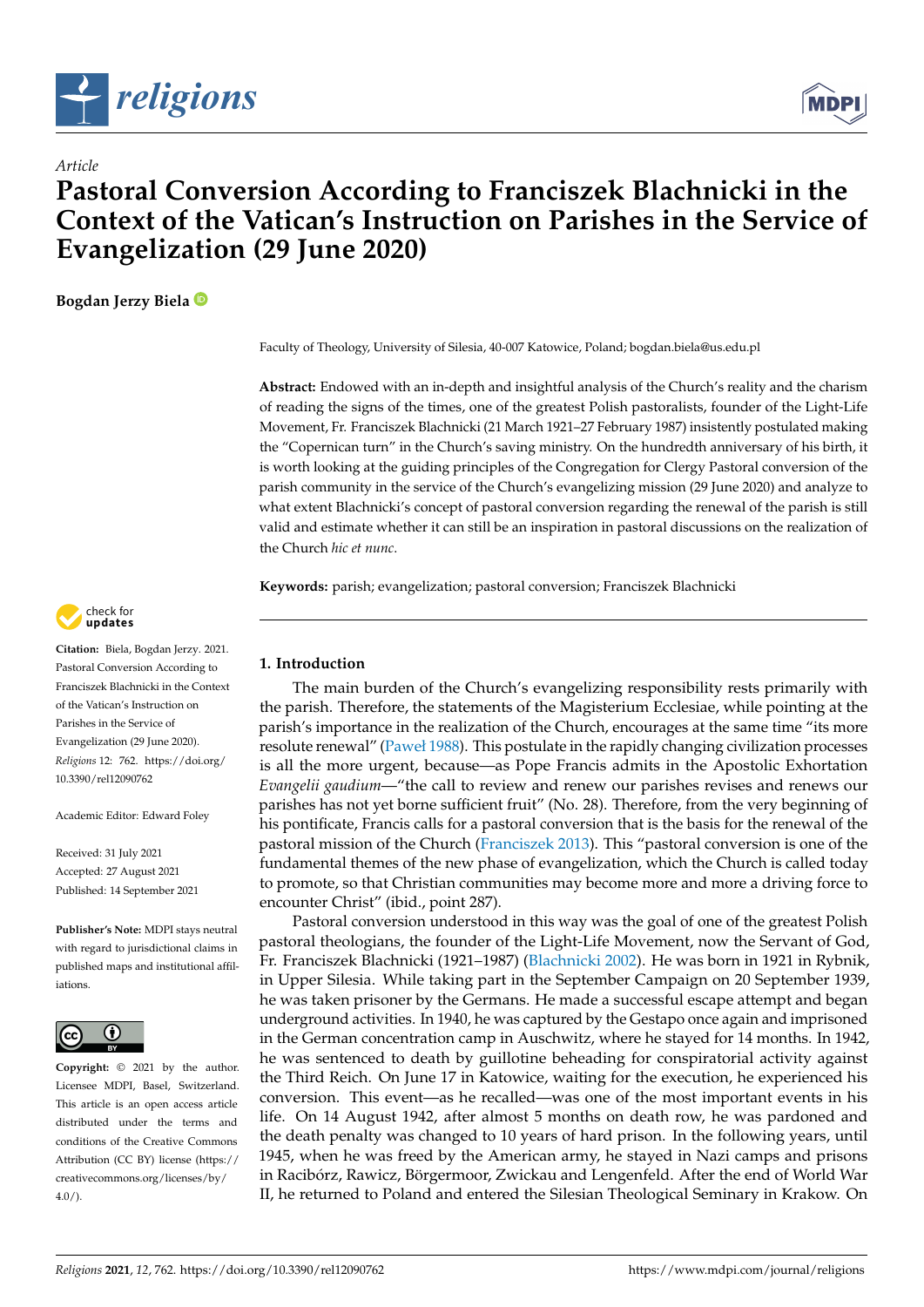



# **Pastoral Conversion According to Franciszek Blachnicki in the Context of the Vatican's Instruction on Parishes in the Service of Evangelization (29 June 2020)**

**Bogdan Jerzy Biela**

*Article*

Faculty of Theology, University of Silesia, 40-007 Katowice, Poland; bogdan.biela@us.edu.pl

**Abstract:** Endowed with an in-depth and insightful analysis of the Church's reality and the charism of reading the signs of the times, one of the greatest Polish pastoralists, founder of the Light-Life Movement, Fr. Franciszek Blachnicki (21 March 1921–27 February 1987) insistently postulated making the "Copernican turn" in the Church's saving ministry. On the hundredth anniversary of his birth, it is worth looking at the guiding principles of the Congregation for Clergy Pastoral conversion of the parish community in the service of the Church's evangelizing mission (29 June 2020) and analyze to what extent Blachnicki's concept of pastoral conversion regarding the renewal of the parish is still valid and estimate whether it can still be an inspiration in pastoral discussions on the realization of the Church *hic et nunc*.

**Keywords:** parish; evangelization; pastoral conversion; Franciszek Blachnicki

# **1. Introduction**

The main burden of the Church's evangelizing responsibility rests primarily with the parish. Therefore, the statements of the Magisterium Ecclesiae, while pointing at the parish's importance in the realization of the Church, encourages at the same time "its more resolute renewal" [\(Paweł](#page-14-0) [1988\)](#page-14-0). This postulate in the rapidly changing civilization processes is all the more urgent, because—as Pope Francis admits in the Apostolic Exhortation *Evangelii gaudium*—"the call to review and renew our parishes revises and renews our parishes has not yet borne sufficient fruit" (No. 28). Therefore, from the very beginning of his pontificate, Francis calls for a pastoral conversion that is the basis for the renewal of the pastoral mission of the Church [\(Franciszek](#page-13-0) [2013\)](#page-13-0). This "pastoral conversion is one of the fundamental themes of the new phase of evangelization, which the Church is called today to promote, so that Christian communities may become more and more a driving force to encounter Christ" (ibid., point 287).

Pastoral conversion understood in this way was the goal of one of the greatest Polish pastoral theologians, the founder of the Light-Life Movement, now the Servant of God, Fr. Franciszek Blachnicki (1921–1987) [\(Blachnicki](#page-13-1) [2002\)](#page-13-1). He was born in 1921 in Rybnik, in Upper Silesia. While taking part in the September Campaign on 20 September 1939, he was taken prisoner by the Germans. He made a successful escape attempt and began underground activities. In 1940, he was captured by the Gestapo once again and imprisoned in the German concentration camp in Auschwitz, where he stayed for 14 months. In 1942, he was sentenced to death by guillotine beheading for conspiratorial activity against the Third Reich. On June 17 in Katowice, waiting for the execution, he experienced his conversion. This event—as he recalled—was one of the most important events in his life. On 14 August 1942, after almost 5 months on death row, he was pardoned and the death penalty was changed to 10 years of hard prison. In the following years, until 1945, when he was freed by the American army, he stayed in Nazi camps and prisons in Racibórz, Rawicz, Börgermoor, Zwickau and Lengenfeld. After the end of World War II, he returned to Poland and entered the Silesian Theological Seminary in Krakow. On



**Citation:** Biela, Bogdan Jerzy. 2021. Pastoral Conversion According to Franciszek Blachnicki in the Context of the Vatican's Instruction on Parishes in the Service of Evangelization (29 June 2020). *Religions* 12: 762. [https://doi.org/](https://doi.org/10.3390/rel12090762) [10.3390/rel12090762](https://doi.org/10.3390/rel12090762)

Academic Editor: Edward Foley

Received: 31 July 2021 Accepted: 27 August 2021 Published: 14 September 2021

**Publisher's Note:** MDPI stays neutral with regard to jurisdictional claims in published maps and institutional affiliations.



**Copyright:** © 2021 by the author. Licensee MDPI, Basel, Switzerland. This article is an open access article distributed under the terms and conditions of the Creative Commons Attribution (CC BY) license (https:/[/](https://creativecommons.org/licenses/by/4.0/) [creativecommons.org/licenses/by/](https://creativecommons.org/licenses/by/4.0/)  $4.0/$ ).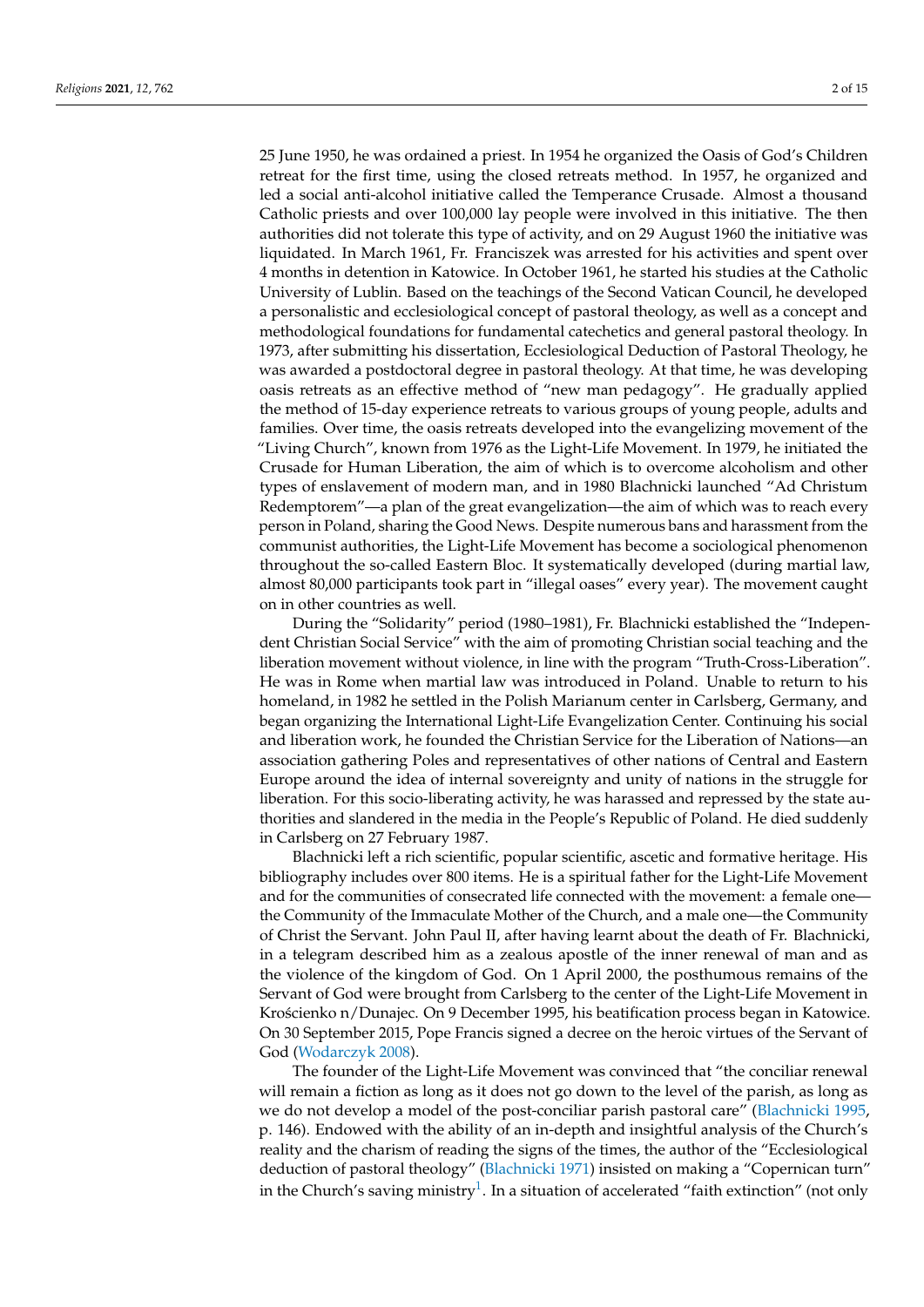25 June 1950, he was ordained a priest. In 1954 he organized the Oasis of God's Children retreat for the first time, using the closed retreats method. In 1957, he organized and led a social anti-alcohol initiative called the Temperance Crusade. Almost a thousand Catholic priests and over 100,000 lay people were involved in this initiative. The then authorities did not tolerate this type of activity, and on 29 August 1960 the initiative was liquidated. In March 1961, Fr. Franciszek was arrested for his activities and spent over 4 months in detention in Katowice. In October 1961, he started his studies at the Catholic University of Lublin. Based on the teachings of the Second Vatican Council, he developed a personalistic and ecclesiological concept of pastoral theology, as well as a concept and methodological foundations for fundamental catechetics and general pastoral theology. In 1973, after submitting his dissertation, Ecclesiological Deduction of Pastoral Theology, he was awarded a postdoctoral degree in pastoral theology. At that time, he was developing oasis retreats as an effective method of "new man pedagogy". He gradually applied the method of 15-day experience retreats to various groups of young people, adults and families. Over time, the oasis retreats developed into the evangelizing movement of the "Living Church", known from 1976 as the Light-Life Movement. In 1979, he initiated the Crusade for Human Liberation, the aim of which is to overcome alcoholism and other types of enslavement of modern man, and in 1980 Blachnicki launched "Ad Christum Redemptorem"—a plan of the great evangelization—the aim of which was to reach every person in Poland, sharing the Good News. Despite numerous bans and harassment from the communist authorities, the Light-Life Movement has become a sociological phenomenon throughout the so-called Eastern Bloc. It systematically developed (during martial law, almost 80,000 participants took part in "illegal oases" every year). The movement caught on in other countries as well.

During the "Solidarity" period (1980–1981), Fr. Blachnicki established the "Independent Christian Social Service" with the aim of promoting Christian social teaching and the liberation movement without violence, in line with the program "Truth-Cross-Liberation". He was in Rome when martial law was introduced in Poland. Unable to return to his homeland, in 1982 he settled in the Polish Marianum center in Carlsberg, Germany, and began organizing the International Light-Life Evangelization Center. Continuing his social and liberation work, he founded the Christian Service for the Liberation of Nations—an association gathering Poles and representatives of other nations of Central and Eastern Europe around the idea of internal sovereignty and unity of nations in the struggle for liberation. For this socio-liberating activity, he was harassed and repressed by the state authorities and slandered in the media in the People's Republic of Poland. He died suddenly in Carlsberg on 27 February 1987.

Blachnicki left a rich scientific, popular scientific, ascetic and formative heritage. His bibliography includes over 800 items. He is a spiritual father for the Light-Life Movement and for the communities of consecrated life connected with the movement: a female one the Community of the Immaculate Mother of the Church, and a male one—the Community of Christ the Servant. John Paul II, after having learnt about the death of Fr. Blachnicki, in a telegram described him as a zealous apostle of the inner renewal of man and as the violence of the kingdom of God. On 1 April 2000, the posthumous remains of the Servant of God were brought from Carlsberg to the center of the Light-Life Movement in Krościenko n/Dunajec. On 9 December 1995, his beatification process began in Katowice. On 30 September 2015, Pope Francis signed a decree on the heroic virtues of the Servant of God [\(Wodarczyk](#page-14-1) [2008\)](#page-14-1).

<span id="page-1-0"></span>The founder of the Light-Life Movement was convinced that "the conciliar renewal will remain a fiction as long as it does not go down to the level of the parish, as long as we do not develop a model of the post-conciliar parish pastoral care" [\(Blachnicki](#page-13-2) [1995,](#page-13-2) p. 146). Endowed with the ability of an in-depth and insightful analysis of the Church's reality and the charism of reading the signs of the times, the author of the "Ecclesiological deduction of pastoral theology" [\(Blachnicki](#page-13-3) [1971\)](#page-13-3) insisted on making a "Copernican turn" in the Church's saving ministry $^1$  $^1$ . In a situation of accelerated "faith extinction" (not only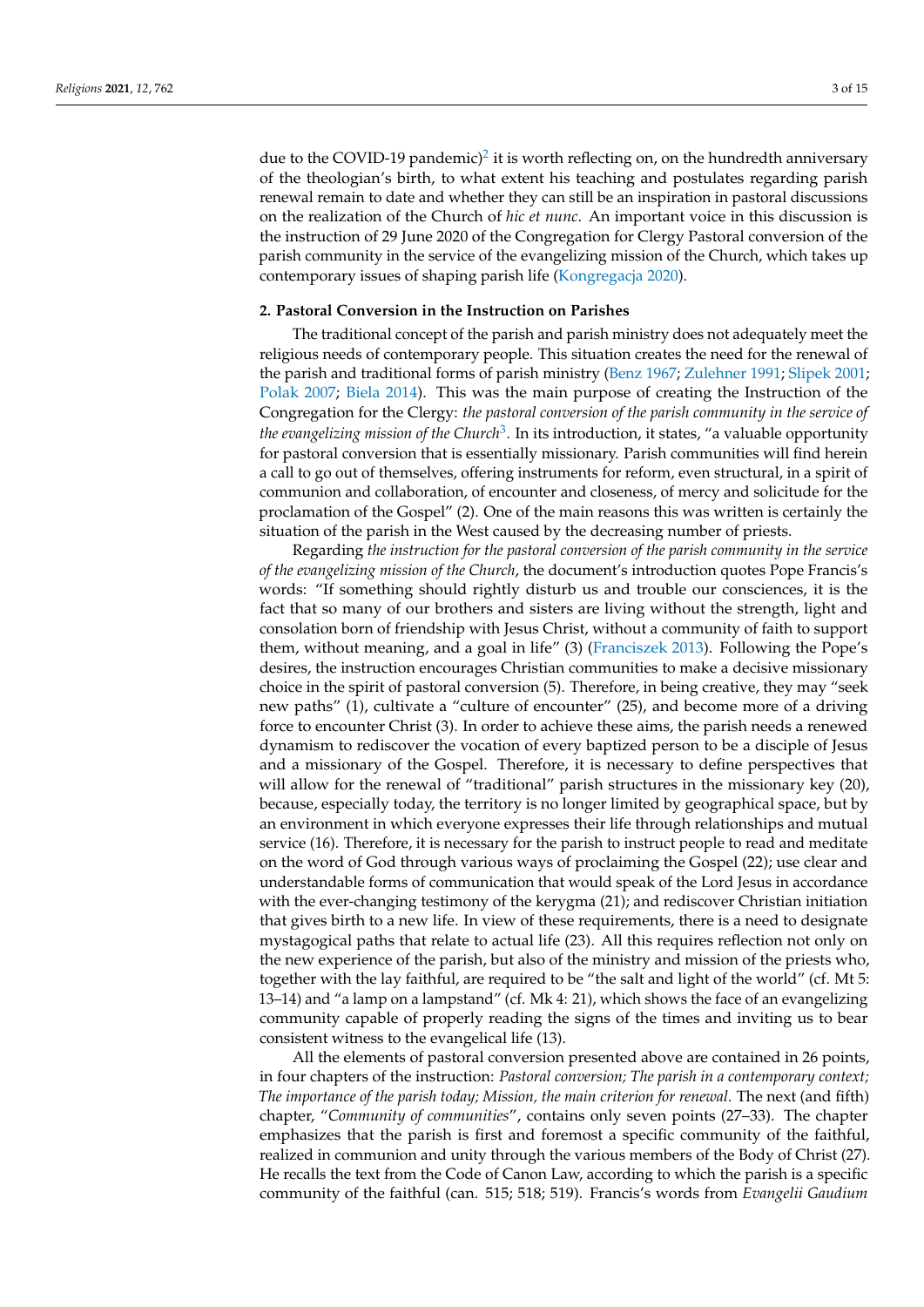<span id="page-2-0"></span>due to the COVID-19 pandemic)<sup>[2](#page-11-1)</sup> it is worth reflecting on, on the hundredth anniversary of the theologian's birth, to what extent his teaching and postulates regarding parish renewal remain to date and whether they can still be an inspiration in pastoral discussions on the realization of the Church of *hic et nunc*. An important voice in this discussion is the instruction of 29 June 2020 of the Congregation for Clergy Pastoral conversion of the parish community in the service of the evangelizing mission of the Church, which takes up

#### **2. Pastoral Conversion in the Instruction on Parishes**

contemporary issues of shaping parish life [\(Kongregacja](#page-13-4) [2020\)](#page-13-4).

<span id="page-2-1"></span>The traditional concept of the parish and parish ministry does not adequately meet the religious needs of contemporary people. This situation creates the need for the renewal of the parish and traditional forms of parish ministry [\(Benz](#page-13-5) [1967;](#page-13-5) [Zulehner](#page-14-2) [1991;](#page-14-2) [Slipek](#page-14-3) [2001;](#page-14-3) [Polak](#page-14-4) [2007;](#page-14-4) [Biela](#page-13-6) [2014\)](#page-13-6). This was the main purpose of creating the Instruction of the Congregation for the Clergy: *the pastoral conversion of the parish community in the service of the evangelizing mission of the Church*[3](#page-11-2) . In its introduction, it states, "a valuable opportunity for pastoral conversion that is essentially missionary. Parish communities will find herein a call to go out of themselves, offering instruments for reform, even structural, in a spirit of communion and collaboration, of encounter and closeness, of mercy and solicitude for the proclamation of the Gospel" (2). One of the main reasons this was written is certainly the situation of the parish in the West caused by the decreasing number of priests.

Regarding *the instruction for the pastoral conversion of the parish community in the service of the evangelizing mission of the Church*, the document's introduction quotes Pope Francis's words: "If something should rightly disturb us and trouble our consciences, it is the fact that so many of our brothers and sisters are living without the strength, light and consolation born of friendship with Jesus Christ, without a community of faith to support them, without meaning, and a goal in life" (3) [\(Franciszek](#page-13-0) [2013\)](#page-13-0). Following the Pope's desires, the instruction encourages Christian communities to make a decisive missionary choice in the spirit of pastoral conversion (5). Therefore, in being creative, they may "seek new paths" (1), cultivate a "culture of encounter" (25), and become more of a driving force to encounter Christ (3). In order to achieve these aims, the parish needs a renewed dynamism to rediscover the vocation of every baptized person to be a disciple of Jesus and a missionary of the Gospel. Therefore, it is necessary to define perspectives that will allow for the renewal of "traditional" parish structures in the missionary key (20), because, especially today, the territory is no longer limited by geographical space, but by an environment in which everyone expresses their life through relationships and mutual service (16). Therefore, it is necessary for the parish to instruct people to read and meditate on the word of God through various ways of proclaiming the Gospel (22); use clear and understandable forms of communication that would speak of the Lord Jesus in accordance with the ever-changing testimony of the kerygma (21); and rediscover Christian initiation that gives birth to a new life. In view of these requirements, there is a need to designate mystagogical paths that relate to actual life (23). All this requires reflection not only on the new experience of the parish, but also of the ministry and mission of the priests who, together with the lay faithful, are required to be "the salt and light of the world" (cf. Mt 5: 13–14) and "a lamp on a lampstand" (cf. Mk 4: 21), which shows the face of an evangelizing community capable of properly reading the signs of the times and inviting us to bear consistent witness to the evangelical life (13).

All the elements of pastoral conversion presented above are contained in 26 points, in four chapters of the instruction: *Pastoral conversion; The parish in a contemporary context; The importance of the parish today; Mission, the main criterion for renewal*. The next (and fifth) chapter, "*Community of communities*", contains only seven points (27–33). The chapter emphasizes that the parish is first and foremost a specific community of the faithful, realized in communion and unity through the various members of the Body of Christ (27). He recalls the text from the Code of Canon Law, according to which the parish is a specific community of the faithful (can. 515; 518; 519). Francis's words from *Evangelii Gaudium*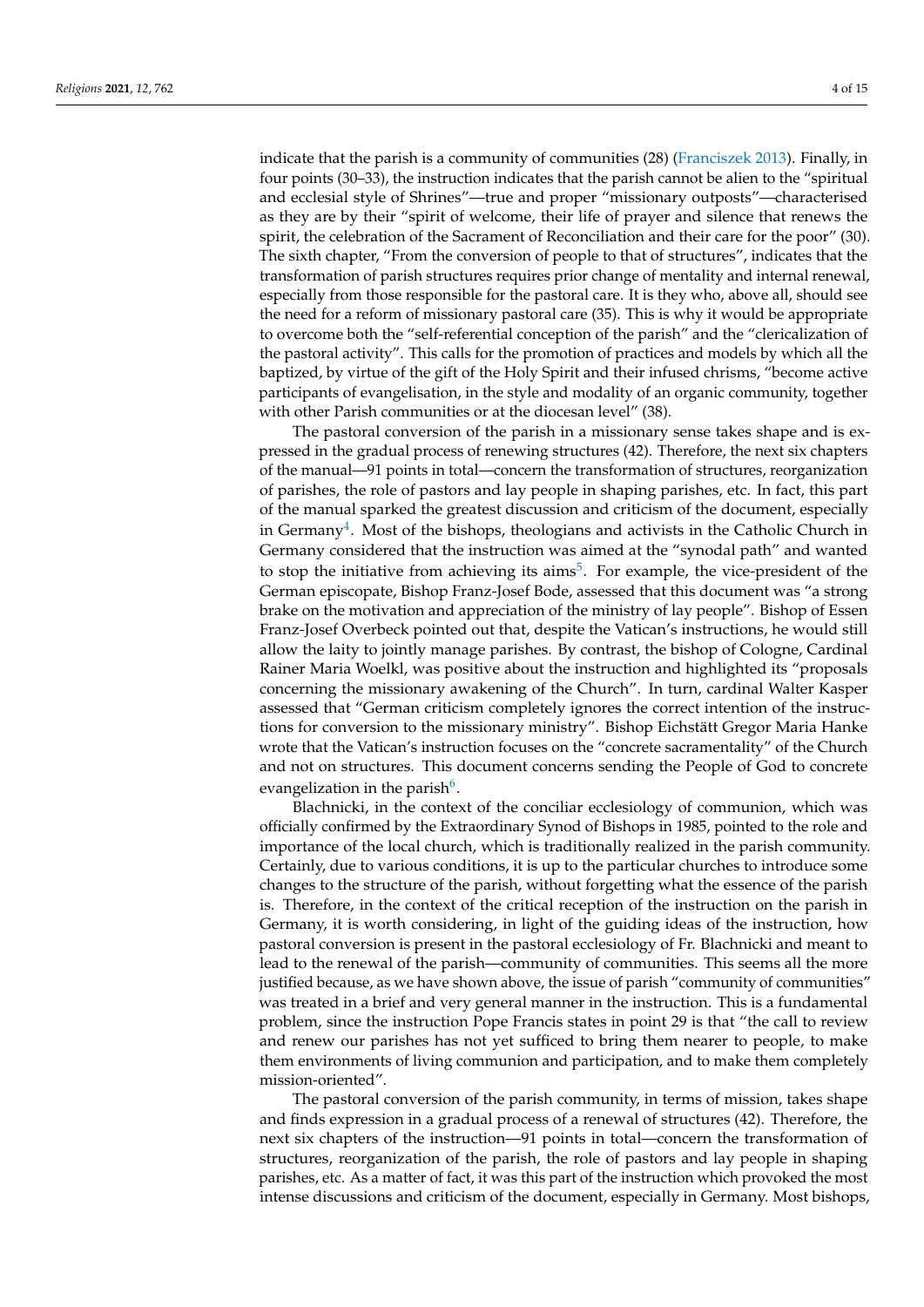indicate that the parish is a community of communities (28) [\(Franciszek](#page-13-0) [2013\)](#page-13-0). Finally, in four points (30–33), the instruction indicates that the parish cannot be alien to the "spiritual and ecclesial style of Shrines"—true and proper "missionary outposts"—characterised as they are by their "spirit of welcome, their life of prayer and silence that renews the spirit, the celebration of the Sacrament of Reconciliation and their care for the poor" (30). The sixth chapter, "From the conversion of people to that of structures", indicates that the transformation of parish structures requires prior change of mentality and internal renewal, especially from those responsible for the pastoral care. It is they who, above all, should see the need for a reform of missionary pastoral care (35). This is why it would be appropriate to overcome both the "self-referential conception of the parish" and the "clericalization of the pastoral activity". This calls for the promotion of practices and models by which all the baptized, by virtue of the gift of the Holy Spirit and their infused chrisms, "become active participants of evangelisation, in the style and modality of an organic community, together with other Parish communities or at the diocesan level" (38).

<span id="page-3-1"></span><span id="page-3-0"></span>The pastoral conversion of the parish in a missionary sense takes shape and is expressed in the gradual process of renewing structures (42). Therefore, the next six chapters of the manual—91 points in total—concern the transformation of structures, reorganization of parishes, the role of pastors and lay people in shaping parishes, etc. In fact, this part of the manual sparked the greatest discussion and criticism of the document, especially in Germany<sup>[4](#page-11-3)</sup>. Most of the bishops, theologians and activists in the Catholic Church in Germany considered that the instruction was aimed at the "synodal path" and wanted to stop the initiative from achieving its aims<sup>[5](#page-11-4)</sup>. For example, the vice-president of the German episcopate, Bishop Franz-Josef Bode, assessed that this document was "a strong brake on the motivation and appreciation of the ministry of lay people". Bishop of Essen Franz-Josef Overbeck pointed out that, despite the Vatican's instructions, he would still allow the laity to jointly manage parishes. By contrast, the bishop of Cologne, Cardinal Rainer Maria Woelkl, was positive about the instruction and highlighted its "proposals concerning the missionary awakening of the Church". In turn, cardinal Walter Kasper assessed that "German criticism completely ignores the correct intention of the instructions for conversion to the missionary ministry". Bishop Eichstätt Gregor Maria Hanke wrote that the Vatican's instruction focuses on the "concrete sacramentality" of the Church and not on structures. This document concerns sending the People of God to concrete evangelization in the parish<sup>[6](#page-12-0)</sup>.

<span id="page-3-2"></span>Blachnicki, in the context of the conciliar ecclesiology of communion, which was officially confirmed by the Extraordinary Synod of Bishops in 1985, pointed to the role and importance of the local church, which is traditionally realized in the parish community. Certainly, due to various conditions, it is up to the particular churches to introduce some changes to the structure of the parish, without forgetting what the essence of the parish is. Therefore, in the context of the critical reception of the instruction on the parish in Germany, it is worth considering, in light of the guiding ideas of the instruction, how pastoral conversion is present in the pastoral ecclesiology of Fr. Blachnicki and meant to lead to the renewal of the parish—community of communities. This seems all the more justified because, as we have shown above, the issue of parish "community of communities" was treated in a brief and very general manner in the instruction. This is a fundamental problem, since the instruction Pope Francis states in point 29 is that "the call to review and renew our parishes has not yet sufficed to bring them nearer to people, to make them environments of living communion and participation, and to make them completely mission-oriented".

The pastoral conversion of the parish community, in terms of mission, takes shape and finds expression in a gradual process of a renewal of structures (42). Therefore, the next six chapters of the instruction—91 points in total—concern the transformation of structures, reorganization of the parish, the role of pastors and lay people in shaping parishes, etc. As a matter of fact, it was this part of the instruction which provoked the most intense discussions and criticism of the document, especially in Germany. Most bishops,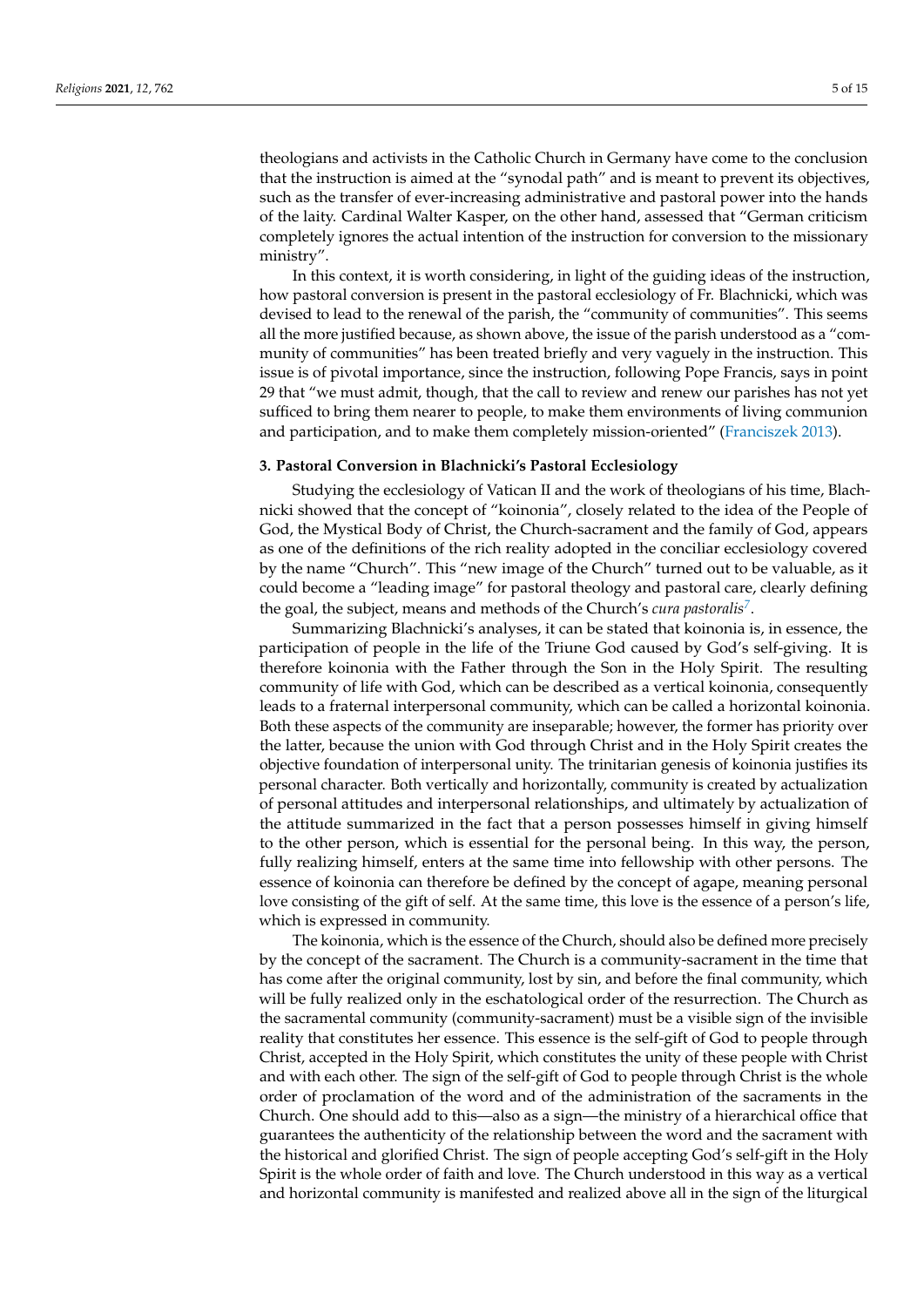theologians and activists in the Catholic Church in Germany have come to the conclusion that the instruction is aimed at the "synodal path" and is meant to prevent its objectives, such as the transfer of ever-increasing administrative and pastoral power into the hands of the laity. Cardinal Walter Kasper, on the other hand, assessed that "German criticism completely ignores the actual intention of the instruction for conversion to the missionary ministry".

In this context, it is worth considering, in light of the guiding ideas of the instruction, how pastoral conversion is present in the pastoral ecclesiology of Fr. Blachnicki, which was devised to lead to the renewal of the parish, the "community of communities". This seems all the more justified because, as shown above, the issue of the parish understood as a "community of communities" has been treated briefly and very vaguely in the instruction. This issue is of pivotal importance, since the instruction, following Pope Francis, says in point 29 that "we must admit, though, that the call to review and renew our parishes has not yet sufficed to bring them nearer to people, to make them environments of living communion and participation, and to make them completely mission-oriented" [\(Franciszek](#page-13-0) [2013\)](#page-13-0).

# **3. Pastoral Conversion in Blachnicki's Pastoral Ecclesiology**

Studying the ecclesiology of Vatican II and the work of theologians of his time, Blachnicki showed that the concept of "koinonia", closely related to the idea of the People of God, the Mystical Body of Christ, the Church-sacrament and the family of God, appears as one of the definitions of the rich reality adopted in the conciliar ecclesiology covered by the name "Church". This "new image of the Church" turned out to be valuable, as it could become a "leading image" for pastoral theology and pastoral care, clearly defining the goal, the subject, means and methods of the Church's *cura pastoralis[7](#page-12-1)* .

<span id="page-4-0"></span>Summarizing Blachnicki's analyses, it can be stated that koinonia is, in essence, the participation of people in the life of the Triune God caused by God's self-giving. It is therefore koinonia with the Father through the Son in the Holy Spirit. The resulting community of life with God, which can be described as a vertical koinonia, consequently leads to a fraternal interpersonal community, which can be called a horizontal koinonia. Both these aspects of the community are inseparable; however, the former has priority over the latter, because the union with God through Christ and in the Holy Spirit creates the objective foundation of interpersonal unity. The trinitarian genesis of koinonia justifies its personal character. Both vertically and horizontally, community is created by actualization of personal attitudes and interpersonal relationships, and ultimately by actualization of the attitude summarized in the fact that a person possesses himself in giving himself to the other person, which is essential for the personal being. In this way, the person, fully realizing himself, enters at the same time into fellowship with other persons. The essence of koinonia can therefore be defined by the concept of agape, meaning personal love consisting of the gift of self. At the same time, this love is the essence of a person's life, which is expressed in community.

The koinonia, which is the essence of the Church, should also be defined more precisely by the concept of the sacrament. The Church is a community-sacrament in the time that has come after the original community, lost by sin, and before the final community, which will be fully realized only in the eschatological order of the resurrection. The Church as the sacramental community (community-sacrament) must be a visible sign of the invisible reality that constitutes her essence. This essence is the self-gift of God to people through Christ, accepted in the Holy Spirit, which constitutes the unity of these people with Christ and with each other. The sign of the self-gift of God to people through Christ is the whole order of proclamation of the word and of the administration of the sacraments in the Church. One should add to this—also as a sign—the ministry of a hierarchical office that guarantees the authenticity of the relationship between the word and the sacrament with the historical and glorified Christ. The sign of people accepting God's self-gift in the Holy Spirit is the whole order of faith and love. The Church understood in this way as a vertical and horizontal community is manifested and realized above all in the sign of the liturgical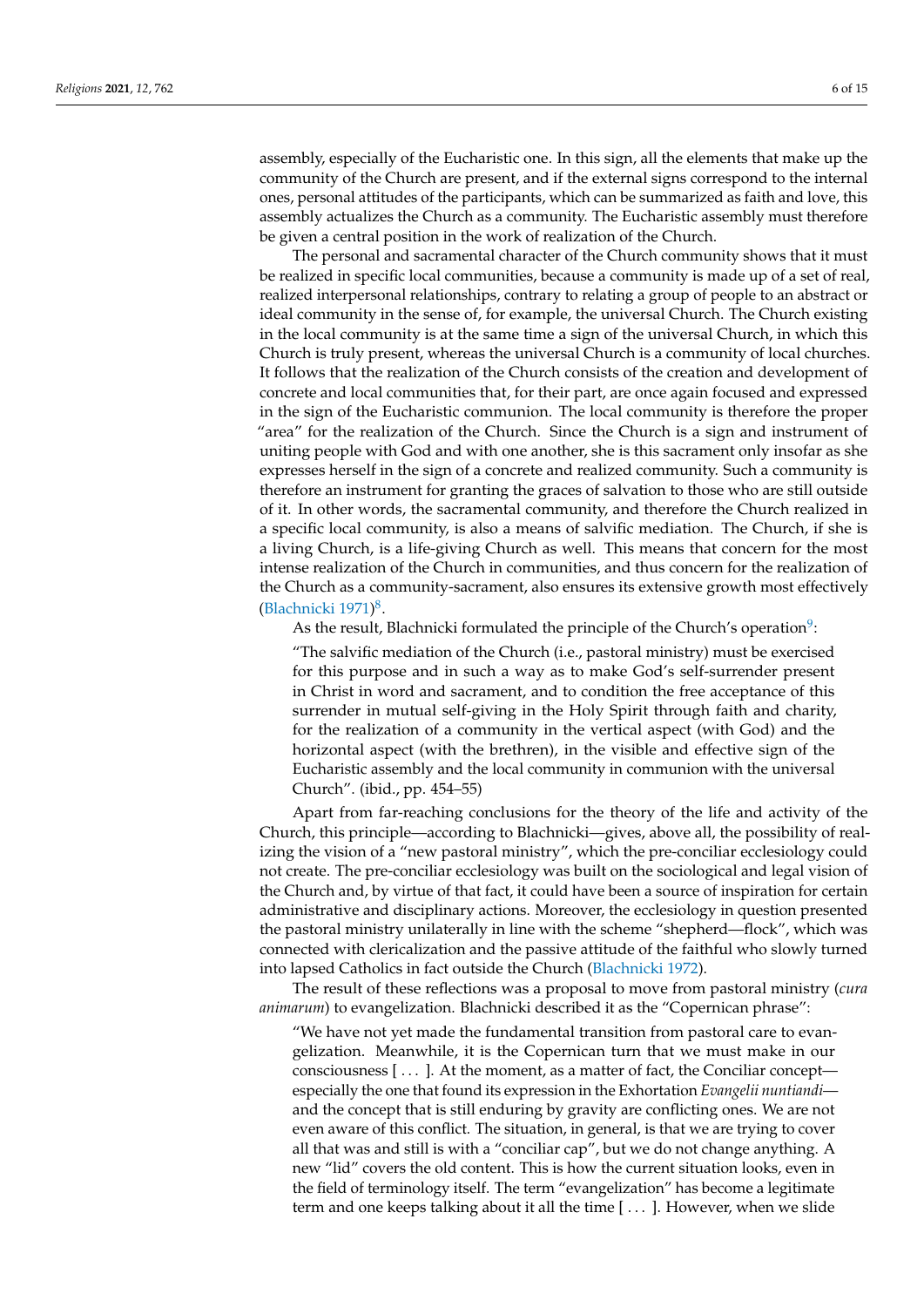assembly, especially of the Eucharistic one. In this sign, all the elements that make up the community of the Church are present, and if the external signs correspond to the internal ones, personal attitudes of the participants, which can be summarized as faith and love, this assembly actualizes the Church as a community. The Eucharistic assembly must therefore be given a central position in the work of realization of the Church.

The personal and sacramental character of the Church community shows that it must be realized in specific local communities, because a community is made up of a set of real, realized interpersonal relationships, contrary to relating a group of people to an abstract or ideal community in the sense of, for example, the universal Church. The Church existing in the local community is at the same time a sign of the universal Church, in which this Church is truly present, whereas the universal Church is a community of local churches. It follows that the realization of the Church consists of the creation and development of concrete and local communities that, for their part, are once again focused and expressed in the sign of the Eucharistic communion. The local community is therefore the proper "area" for the realization of the Church. Since the Church is a sign and instrument of uniting people with God and with one another, she is this sacrament only insofar as she expresses herself in the sign of a concrete and realized community. Such a community is therefore an instrument for granting the graces of salvation to those who are still outside of it. In other words, the sacramental community, and therefore the Church realized in a specific local community, is also a means of salvific mediation. The Church, if she is a living Church, is a life-giving Church as well. This means that concern for the most intense realization of the Church in communities, and thus concern for the realization of the Church as a community-sacrament, also ensures its extensive growth most effectively [\(Blachnicki](#page-13-3) [1971\)](#page-13-3) [8](#page-12-2) .

<span id="page-5-1"></span><span id="page-5-0"></span>As the result, Blachnicki formulated the principle of the Church's operation $9$ :

"The salvific mediation of the Church (i.e., pastoral ministry) must be exercised for this purpose and in such a way as to make God's self-surrender present in Christ in word and sacrament, and to condition the free acceptance of this surrender in mutual self-giving in the Holy Spirit through faith and charity, for the realization of a community in the vertical aspect (with God) and the horizontal aspect (with the brethren), in the visible and effective sign of the Eucharistic assembly and the local community in communion with the universal Church". (ibid., pp. 454–55)

Apart from far-reaching conclusions for the theory of the life and activity of the Church, this principle—according to Blachnicki—gives, above all, the possibility of realizing the vision of a "new pastoral ministry", which the pre-conciliar ecclesiology could not create. The pre-conciliar ecclesiology was built on the sociological and legal vision of the Church and, by virtue of that fact, it could have been a source of inspiration for certain administrative and disciplinary actions. Moreover, the ecclesiology in question presented the pastoral ministry unilaterally in line with the scheme "shepherd—flock", which was connected with clericalization and the passive attitude of the faithful who slowly turned into lapsed Catholics in fact outside the Church [\(Blachnicki](#page-13-7) [1972\)](#page-13-7).

The result of these reflections was a proposal to move from pastoral ministry (*cura animarum*) to evangelization. Blachnicki described it as the "Copernican phrase":

"We have not yet made the fundamental transition from pastoral care to evangelization. Meanwhile, it is the Copernican turn that we must make in our consciousness [ . . . ]. At the moment, as a matter of fact, the Conciliar concept especially the one that found its expression in the Exhortation *Evangelii nuntiandi* and the concept that is still enduring by gravity are conflicting ones. We are not even aware of this conflict. The situation, in general, is that we are trying to cover all that was and still is with a "conciliar cap", but we do not change anything. A new "lid" covers the old content. This is how the current situation looks, even in the field of terminology itself. The term "evangelization" has become a legitimate term and one keeps talking about it all the time [ . . . ]. However, when we slide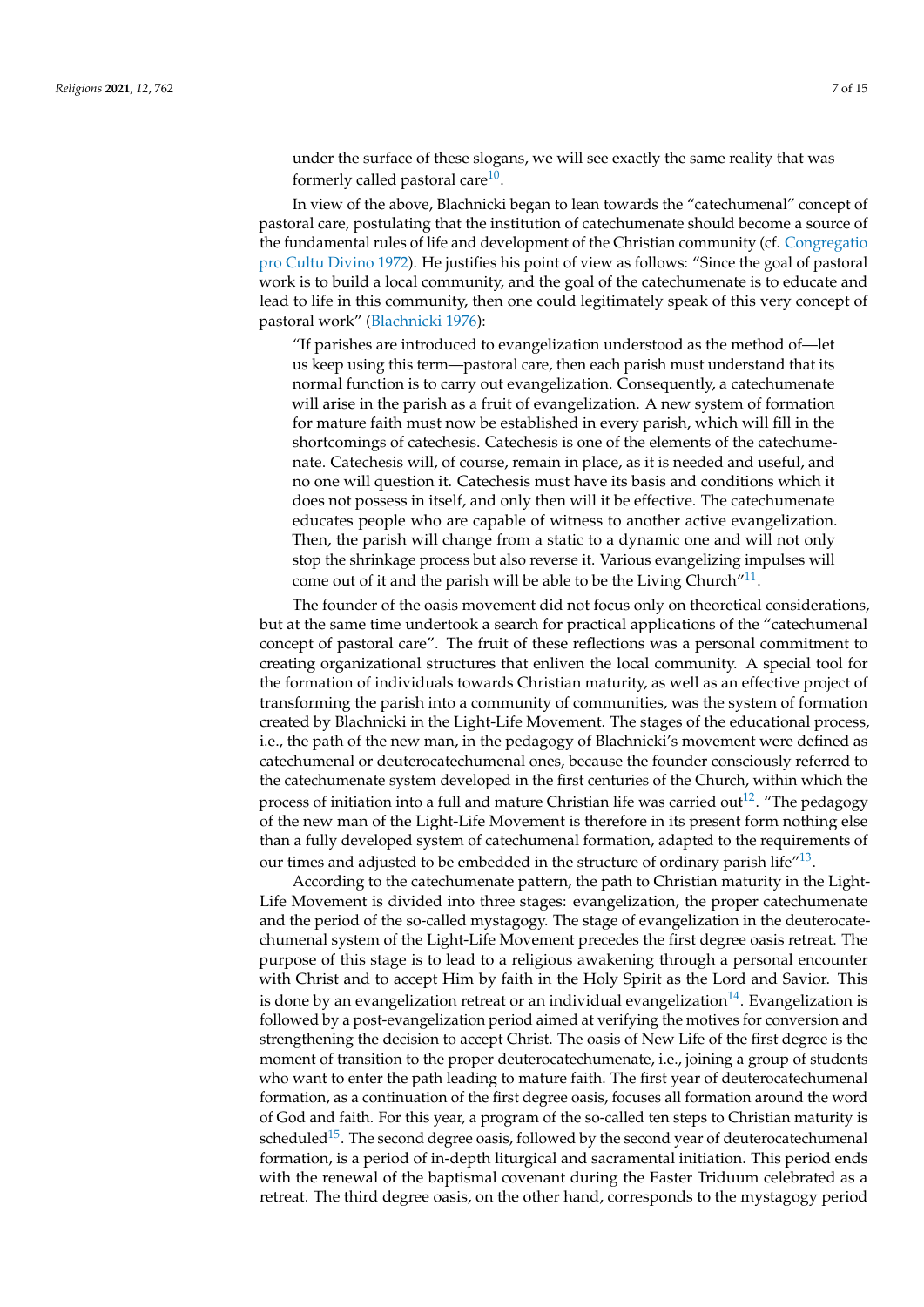<span id="page-6-0"></span>under the surface of these slogans, we will see exactly the same reality that was formerly called pastoral care<sup>[10](#page-12-4)</sup>.

In view of the above, Blachnicki began to lean towards the "catechumenal" concept of pastoral care, postulating that the institution of catechumenate should become a source of the fundamental rules of life and development of the Christian community (cf. [Congregatio](#page-13-8) [pro Cultu Divino](#page-13-8) [1972\)](#page-13-8). He justifies his point of view as follows: "Since the goal of pastoral work is to build a local community, and the goal of the catechumenate is to educate and lead to life in this community, then one could legitimately speak of this very concept of pastoral work" [\(Blachnicki](#page-13-9) [1976\)](#page-13-9):

"If parishes are introduced to evangelization understood as the method of—let us keep using this term—pastoral care, then each parish must understand that its normal function is to carry out evangelization. Consequently, a catechumenate will arise in the parish as a fruit of evangelization. A new system of formation for mature faith must now be established in every parish, which will fill in the shortcomings of catechesis. Catechesis is one of the elements of the catechumenate. Catechesis will, of course, remain in place, as it is needed and useful, and no one will question it. Catechesis must have its basis and conditions which it does not possess in itself, and only then will it be effective. The catechumenate educates people who are capable of witness to another active evangelization. Then, the parish will change from a static to a dynamic one and will not only stop the shrinkage process but also reverse it. Various evangelizing impulses will come out of it and the parish will be able to be the Living Church" $^{11}$  $^{11}$  $^{11}$ .

<span id="page-6-1"></span>The founder of the oasis movement did not focus only on theoretical considerations, but at the same time undertook a search for practical applications of the "catechumenal concept of pastoral care". The fruit of these reflections was a personal commitment to creating organizational structures that enliven the local community. A special tool for the formation of individuals towards Christian maturity, as well as an effective project of transforming the parish into a community of communities, was the system of formation created by Blachnicki in the Light-Life Movement. The stages of the educational process, i.e., the path of the new man, in the pedagogy of Blachnicki's movement were defined as catechumenal or deuterocatechumenal ones, because the founder consciously referred to the catechumenate system developed in the first centuries of the Church, within which the process of initiation into a full and mature Christian life was carried out<sup>[12](#page-12-6)</sup>. "The pedagogy of the new man of the Light-Life Movement is therefore in its present form nothing else than a fully developed system of catechumenal formation, adapted to the requirements of our times and adjusted to be embedded in the structure of ordinary parish life $^{\prime\prime}$ [13](#page-12-7).

<span id="page-6-5"></span><span id="page-6-4"></span><span id="page-6-3"></span><span id="page-6-2"></span>According to the catechumenate pattern, the path to Christian maturity in the Light-Life Movement is divided into three stages: evangelization, the proper catechumenate and the period of the so-called mystagogy. The stage of evangelization in the deuterocatechumenal system of the Light-Life Movement precedes the first degree oasis retreat. The purpose of this stage is to lead to a religious awakening through a personal encounter with Christ and to accept Him by faith in the Holy Spirit as the Lord and Savior. This is done by an evangelization retreat or an individual evangelization<sup>[14](#page-12-8)</sup>. Evangelization is followed by a post-evangelization period aimed at verifying the motives for conversion and strengthening the decision to accept Christ. The oasis of New Life of the first degree is the moment of transition to the proper deuterocatechumenate, i.e., joining a group of students who want to enter the path leading to mature faith. The first year of deuterocatechumenal formation, as a continuation of the first degree oasis, focuses all formation around the word of God and faith. For this year, a program of the so-called ten steps to Christian maturity is scheduled<sup>[15](#page-12-9)</sup>. The second degree oasis, followed by the second year of deuterocatechumenal formation, is a period of in-depth liturgical and sacramental initiation. This period ends with the renewal of the baptismal covenant during the Easter Triduum celebrated as a retreat. The third degree oasis, on the other hand, corresponds to the mystagogy period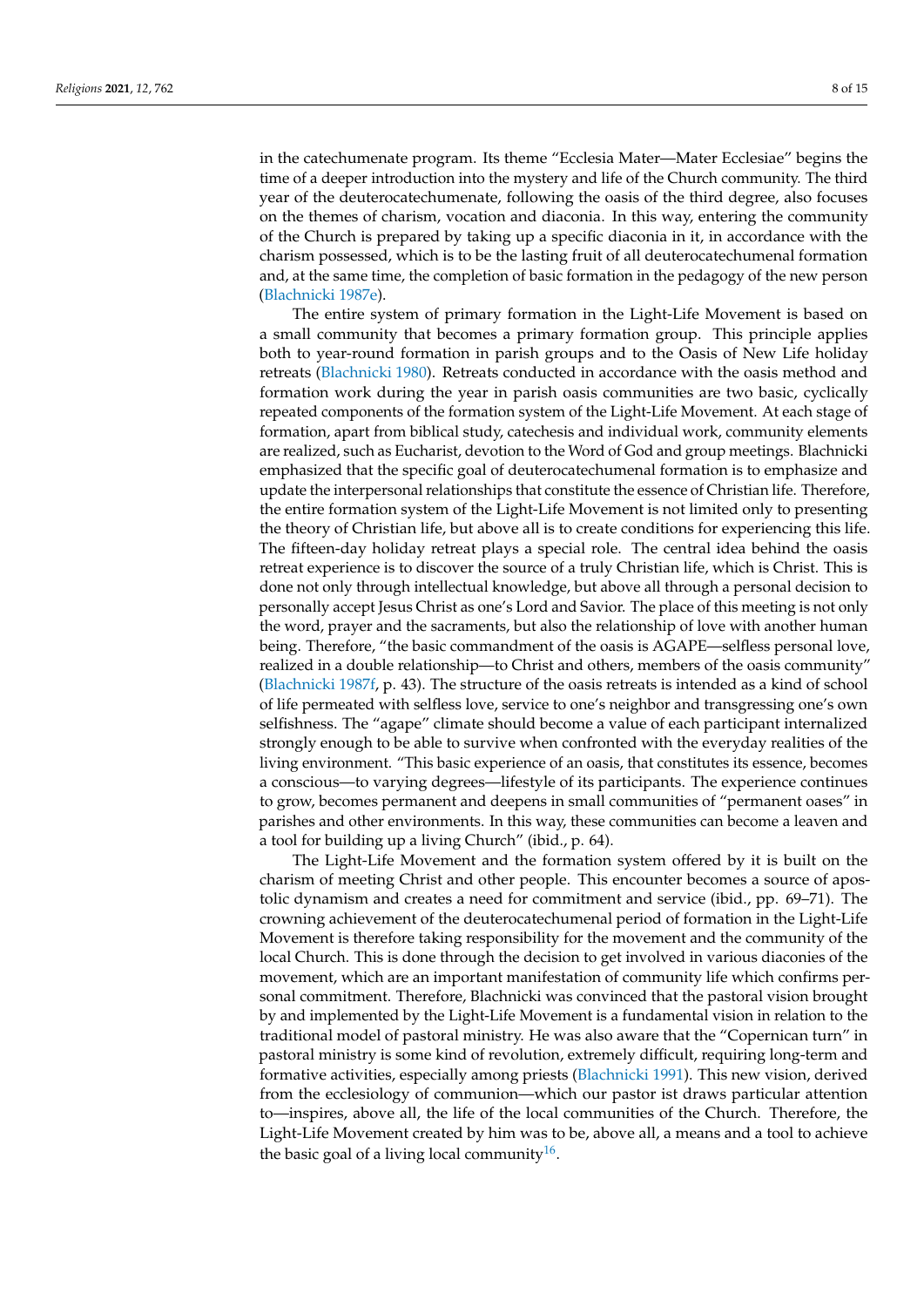in the catechumenate program. Its theme "Ecclesia Mater—Mater Ecclesiae" begins the time of a deeper introduction into the mystery and life of the Church community. The third year of the deuterocatechumenate, following the oasis of the third degree, also focuses on the themes of charism, vocation and diaconia. In this way, entering the community of the Church is prepared by taking up a specific diaconia in it, in accordance with the charism possessed, which is to be the lasting fruit of all deuterocatechumenal formation and, at the same time, the completion of basic formation in the pedagogy of the new person [\(Blachnicki](#page-13-10) [1987e\)](#page-13-10).

The entire system of primary formation in the Light-Life Movement is based on a small community that becomes a primary formation group. This principle applies both to year-round formation in parish groups and to the Oasis of New Life holiday retreats [\(Blachnicki](#page-13-11) [1980\)](#page-13-11). Retreats conducted in accordance with the oasis method and formation work during the year in parish oasis communities are two basic, cyclically repeated components of the formation system of the Light-Life Movement. At each stage of formation, apart from biblical study, catechesis and individual work, community elements are realized, such as Eucharist, devotion to the Word of God and group meetings. Blachnicki emphasized that the specific goal of deuterocatechumenal formation is to emphasize and update the interpersonal relationships that constitute the essence of Christian life. Therefore, the entire formation system of the Light-Life Movement is not limited only to presenting the theory of Christian life, but above all is to create conditions for experiencing this life. The fifteen-day holiday retreat plays a special role. The central idea behind the oasis retreat experience is to discover the source of a truly Christian life, which is Christ. This is done not only through intellectual knowledge, but above all through a personal decision to personally accept Jesus Christ as one's Lord and Savior. The place of this meeting is not only the word, prayer and the sacraments, but also the relationship of love with another human being. Therefore, "the basic commandment of the oasis is AGAPE—selfless personal love, realized in a double relationship—to Christ and others, members of the oasis community" [\(Blachnicki](#page-13-12) [1987f,](#page-13-12) p. 43). The structure of the oasis retreats is intended as a kind of school of life permeated with selfless love, service to one's neighbor and transgressing one's own selfishness. The "agape" climate should become a value of each participant internalized strongly enough to be able to survive when confronted with the everyday realities of the living environment. "This basic experience of an oasis, that constitutes its essence, becomes a conscious—to varying degrees—lifestyle of its participants. The experience continues to grow, becomes permanent and deepens in small communities of "permanent oases" in parishes and other environments. In this way, these communities can become a leaven and a tool for building up a living Church" (ibid., p. 64).

<span id="page-7-0"></span>The Light-Life Movement and the formation system offered by it is built on the charism of meeting Christ and other people. This encounter becomes a source of apostolic dynamism and creates a need for commitment and service (ibid., pp. 69–71). The crowning achievement of the deuterocatechumenal period of formation in the Light-Life Movement is therefore taking responsibility for the movement and the community of the local Church. This is done through the decision to get involved in various diaconies of the movement, which are an important manifestation of community life which confirms personal commitment. Therefore, Blachnicki was convinced that the pastoral vision brought by and implemented by the Light-Life Movement is a fundamental vision in relation to the traditional model of pastoral ministry. He was also aware that the "Copernican turn" in pastoral ministry is some kind of revolution, extremely difficult, requiring long-term and formative activities, especially among priests [\(Blachnicki](#page-13-13) [1991\)](#page-13-13). This new vision, derived from the ecclesiology of communion—which our pastor ist draws particular attention to—inspires, above all, the life of the local communities of the Church. Therefore, the Light-Life Movement created by him was to be, above all, a means and a tool to achieve the basic goal of a living local community<sup>[16](#page-12-10)</sup>.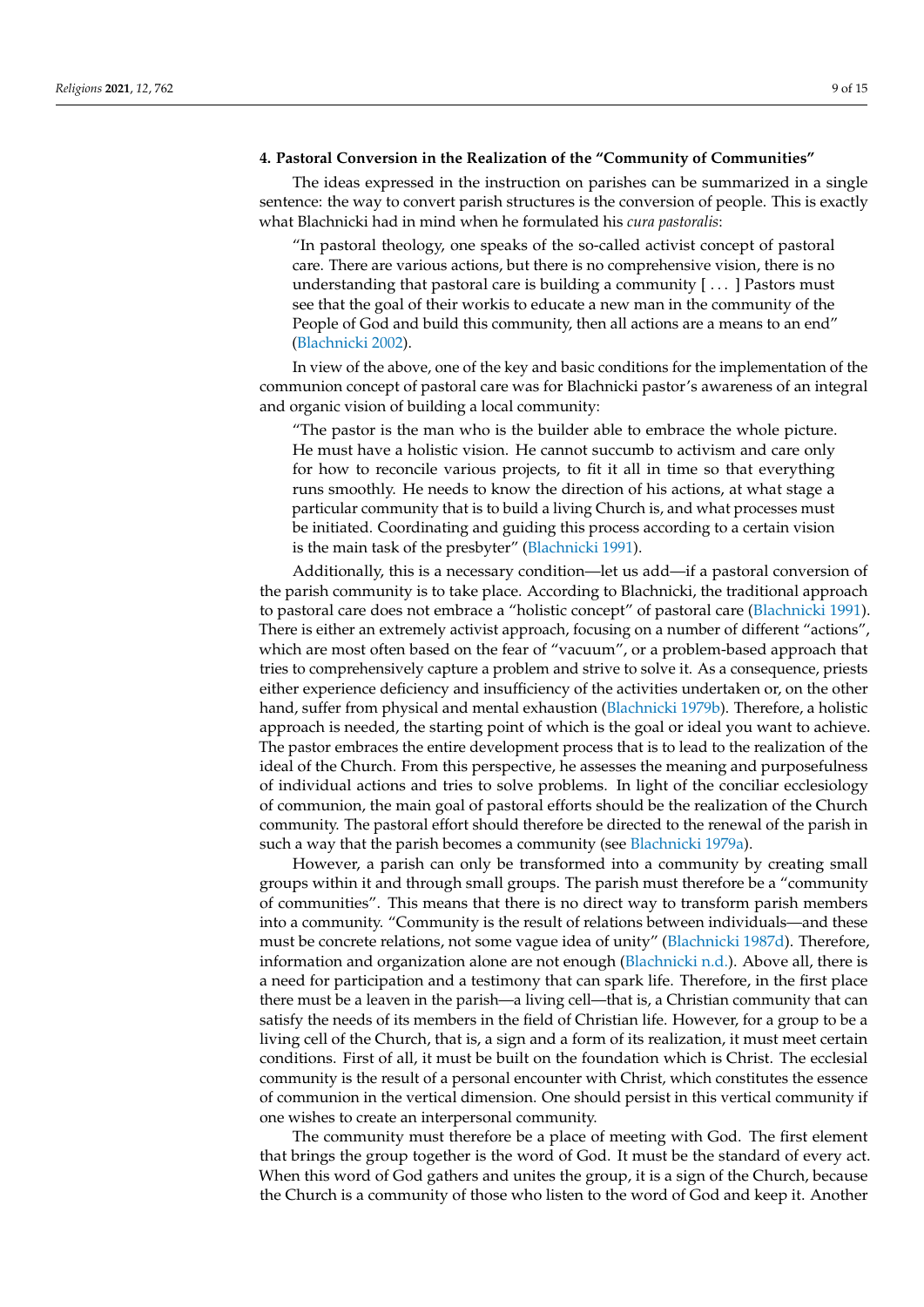# **4. Pastoral Conversion in the Realization of the "Community of Communities"**

The ideas expressed in the instruction on parishes can be summarized in a single sentence: the way to convert parish structures is the conversion of people. This is exactly what Blachnicki had in mind when he formulated his *cura pastoralis*:

"In pastoral theology, one speaks of the so-called activist concept of pastoral care. There are various actions, but there is no comprehensive vision, there is no understanding that pastoral care is building a community  $[\dots]$  Pastors must see that the goal of their workis to educate a new man in the community of the People of God and build this community, then all actions are a means to an end" [\(Blachnicki](#page-13-1) [2002\)](#page-13-1).

In view of the above, one of the key and basic conditions for the implementation of the communion concept of pastoral care was for Blachnicki pastor's awareness of an integral and organic vision of building a local community:

"The pastor is the man who is the builder able to embrace the whole picture. He must have a holistic vision. He cannot succumb to activism and care only for how to reconcile various projects, to fit it all in time so that everything runs smoothly. He needs to know the direction of his actions, at what stage a particular community that is to build a living Church is, and what processes must be initiated. Coordinating and guiding this process according to a certain vision is the main task of the presbyter" [\(Blachnicki](#page-13-13) [1991\)](#page-13-13).

Additionally, this is a necessary condition—let us add—if a pastoral conversion of the parish community is to take place. According to Blachnicki, the traditional approach to pastoral care does not embrace a "holistic concept" of pastoral care [\(Blachnicki](#page-13-13) [1991\)](#page-13-13). There is either an extremely activist approach, focusing on a number of different "actions", which are most often based on the fear of "vacuum", or a problem-based approach that tries to comprehensively capture a problem and strive to solve it. As a consequence, priests either experience deficiency and insufficiency of the activities undertaken or, on the other hand, suffer from physical and mental exhaustion [\(Blachnicki](#page-13-14) [1979b\)](#page-13-14). Therefore, a holistic approach is needed, the starting point of which is the goal or ideal you want to achieve. The pastor embraces the entire development process that is to lead to the realization of the ideal of the Church. From this perspective, he assesses the meaning and purposefulness of individual actions and tries to solve problems. In light of the conciliar ecclesiology of communion, the main goal of pastoral efforts should be the realization of the Church community. The pastoral effort should therefore be directed to the renewal of the parish in such a way that the parish becomes a community (see [Blachnicki](#page-13-15) [1979a\)](#page-13-15).

However, a parish can only be transformed into a community by creating small groups within it and through small groups. The parish must therefore be a "community of communities". This means that there is no direct way to transform parish members into a community. "Community is the result of relations between individuals—and these must be concrete relations, not some vague idea of unity" [\(Blachnicki](#page-13-16) [1987d\)](#page-13-16). Therefore, information and organization alone are not enough [\(Blachnicki](#page-13-17) [n.d.\)](#page-13-17). Above all, there is a need for participation and a testimony that can spark life. Therefore, in the first place there must be a leaven in the parish—a living cell—that is, a Christian community that can satisfy the needs of its members in the field of Christian life. However, for a group to be a living cell of the Church, that is, a sign and a form of its realization, it must meet certain conditions. First of all, it must be built on the foundation which is Christ. The ecclesial community is the result of a personal encounter with Christ, which constitutes the essence of communion in the vertical dimension. One should persist in this vertical community if one wishes to create an interpersonal community.

The community must therefore be a place of meeting with God. The first element that brings the group together is the word of God. It must be the standard of every act. When this word of God gathers and unites the group, it is a sign of the Church, because the Church is a community of those who listen to the word of God and keep it. Another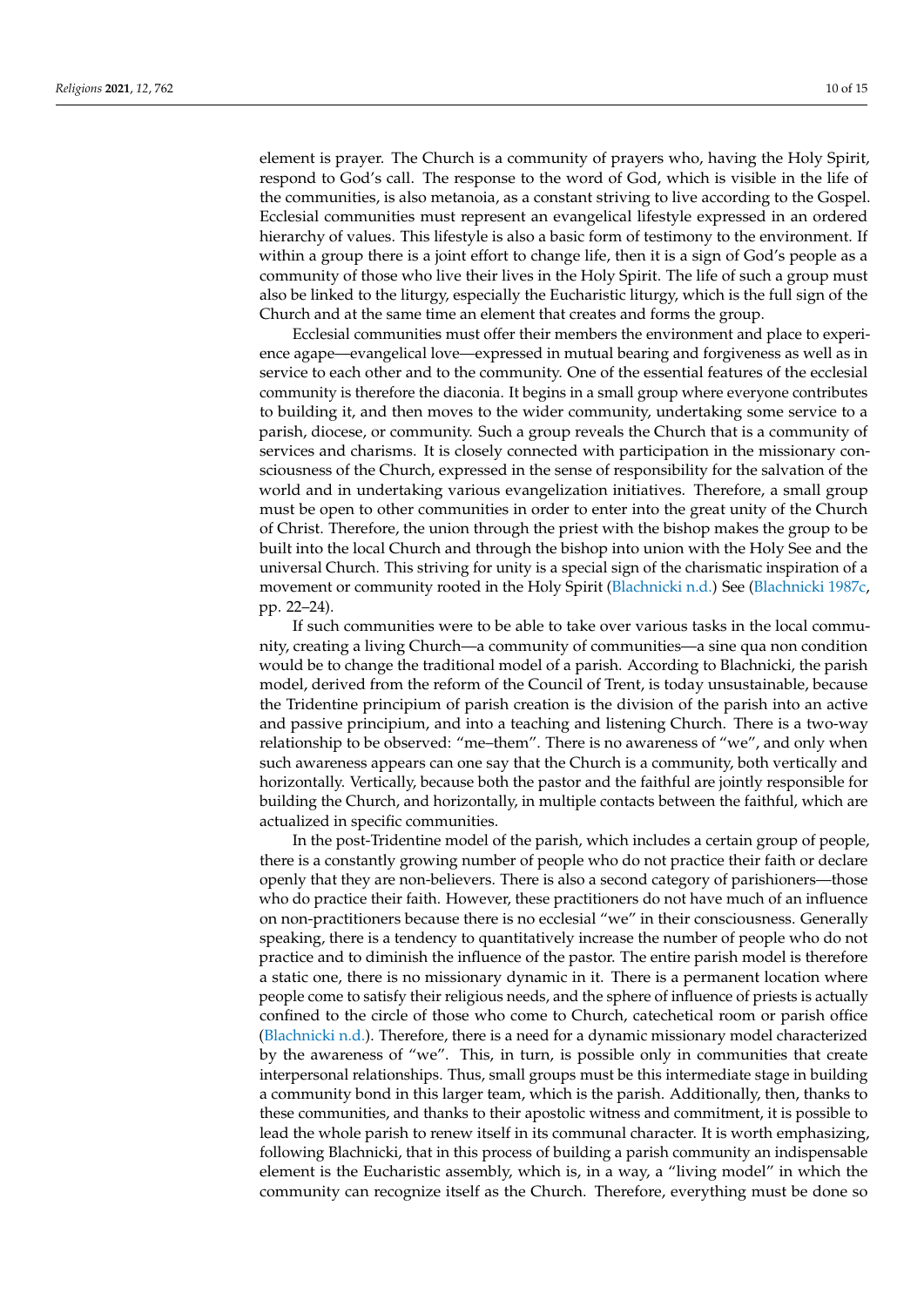element is prayer. The Church is a community of prayers who, having the Holy Spirit, respond to God's call. The response to the word of God, which is visible in the life of the communities, is also metanoia, as a constant striving to live according to the Gospel. Ecclesial communities must represent an evangelical lifestyle expressed in an ordered hierarchy of values. This lifestyle is also a basic form of testimony to the environment. If within a group there is a joint effort to change life, then it is a sign of God's people as a community of those who live their lives in the Holy Spirit. The life of such a group must also be linked to the liturgy, especially the Eucharistic liturgy, which is the full sign of the Church and at the same time an element that creates and forms the group.

Ecclesial communities must offer their members the environment and place to experience agape—evangelical love—expressed in mutual bearing and forgiveness as well as in service to each other and to the community. One of the essential features of the ecclesial community is therefore the diaconia. It begins in a small group where everyone contributes to building it, and then moves to the wider community, undertaking some service to a parish, diocese, or community. Such a group reveals the Church that is a community of services and charisms. It is closely connected with participation in the missionary consciousness of the Church, expressed in the sense of responsibility for the salvation of the world and in undertaking various evangelization initiatives. Therefore, a small group must be open to other communities in order to enter into the great unity of the Church of Christ. Therefore, the union through the priest with the bishop makes the group to be built into the local Church and through the bishop into union with the Holy See and the universal Church. This striving for unity is a special sign of the charismatic inspiration of a movement or community rooted in the Holy Spirit [\(Blachnicki](#page-13-18) [n.d.\)](#page-13-18) See [\(Blachnicki](#page-13-19) [1987c,](#page-13-19) pp. 22–24).

If such communities were to be able to take over various tasks in the local community, creating a living Church—a community of communities—a sine qua non condition would be to change the traditional model of a parish. According to Blachnicki, the parish model, derived from the reform of the Council of Trent, is today unsustainable, because the Tridentine principium of parish creation is the division of the parish into an active and passive principium, and into a teaching and listening Church. There is a two-way relationship to be observed: "me–them". There is no awareness of "we", and only when such awareness appears can one say that the Church is a community, both vertically and horizontally. Vertically, because both the pastor and the faithful are jointly responsible for building the Church, and horizontally, in multiple contacts between the faithful, which are actualized in specific communities.

In the post-Tridentine model of the parish, which includes a certain group of people, there is a constantly growing number of people who do not practice their faith or declare openly that they are non-believers. There is also a second category of parishioners—those who do practice their faith. However, these practitioners do not have much of an influence on non-practitioners because there is no ecclesial "we" in their consciousness. Generally speaking, there is a tendency to quantitatively increase the number of people who do not practice and to diminish the influence of the pastor. The entire parish model is therefore a static one, there is no missionary dynamic in it. There is a permanent location where people come to satisfy their religious needs, and the sphere of influence of priests is actually confined to the circle of those who come to Church, catechetical room or parish office [\(Blachnicki](#page-13-17) [n.d.\)](#page-13-17). Therefore, there is a need for a dynamic missionary model characterized by the awareness of "we". This, in turn, is possible only in communities that create interpersonal relationships. Thus, small groups must be this intermediate stage in building a community bond in this larger team, which is the parish. Additionally, then, thanks to these communities, and thanks to their apostolic witness and commitment, it is possible to lead the whole parish to renew itself in its communal character. It is worth emphasizing, following Blachnicki, that in this process of building a parish community an indispensable element is the Eucharistic assembly, which is, in a way, a "living model" in which the community can recognize itself as the Church. Therefore, everything must be done so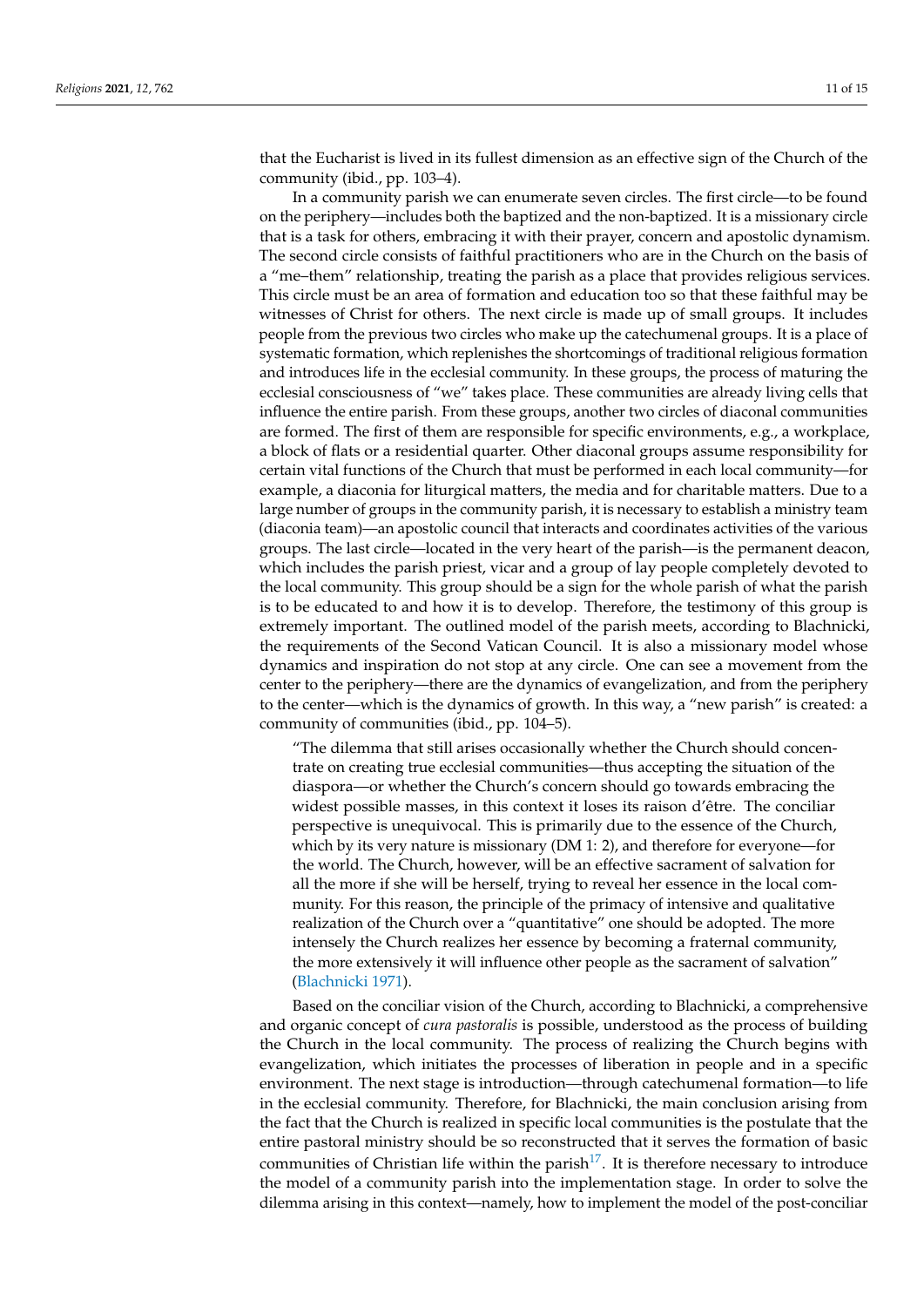that the Eucharist is lived in its fullest dimension as an effective sign of the Church of the community (ibid., pp. 103–4).

In a community parish we can enumerate seven circles. The first circle—to be found on the periphery—includes both the baptized and the non-baptized. It is a missionary circle that is a task for others, embracing it with their prayer, concern and apostolic dynamism. The second circle consists of faithful practitioners who are in the Church on the basis of a "me–them" relationship, treating the parish as a place that provides religious services. This circle must be an area of formation and education too so that these faithful may be witnesses of Christ for others. The next circle is made up of small groups. It includes people from the previous two circles who make up the catechumenal groups. It is a place of systematic formation, which replenishes the shortcomings of traditional religious formation and introduces life in the ecclesial community. In these groups, the process of maturing the ecclesial consciousness of "we" takes place. These communities are already living cells that influence the entire parish. From these groups, another two circles of diaconal communities are formed. The first of them are responsible for specific environments, e.g., a workplace, a block of flats or a residential quarter. Other diaconal groups assume responsibility for certain vital functions of the Church that must be performed in each local community—for example, a diaconia for liturgical matters, the media and for charitable matters. Due to a large number of groups in the community parish, it is necessary to establish a ministry team (diaconia team)—an apostolic council that interacts and coordinates activities of the various groups. The last circle—located in the very heart of the parish—is the permanent deacon, which includes the parish priest, vicar and a group of lay people completely devoted to the local community. This group should be a sign for the whole parish of what the parish is to be educated to and how it is to develop. Therefore, the testimony of this group is extremely important. The outlined model of the parish meets, according to Blachnicki, the requirements of the Second Vatican Council. It is also a missionary model whose dynamics and inspiration do not stop at any circle. One can see a movement from the center to the periphery—there are the dynamics of evangelization, and from the periphery to the center—which is the dynamics of growth. In this way, a "new parish" is created: a community of communities (ibid., pp. 104–5).

"The dilemma that still arises occasionally whether the Church should concentrate on creating true ecclesial communities—thus accepting the situation of the diaspora—or whether the Church's concern should go towards embracing the widest possible masses, in this context it loses its raison d'être. The conciliar perspective is unequivocal. This is primarily due to the essence of the Church, which by its very nature is missionary (DM 1: 2), and therefore for everyone—for the world. The Church, however, will be an effective sacrament of salvation for all the more if she will be herself, trying to reveal her essence in the local community. For this reason, the principle of the primacy of intensive and qualitative realization of the Church over a "quantitative" one should be adopted. The more intensely the Church realizes her essence by becoming a fraternal community, the more extensively it will influence other people as the sacrament of salvation" [\(Blachnicki](#page-13-3) [1971\)](#page-13-3).

<span id="page-10-0"></span>Based on the conciliar vision of the Church, according to Blachnicki, a comprehensive and organic concept of *cura pastoralis* is possible, understood as the process of building the Church in the local community. The process of realizing the Church begins with evangelization, which initiates the processes of liberation in people and in a specific environment. The next stage is introduction—through catechumenal formation—to life in the ecclesial community. Therefore, for Blachnicki, the main conclusion arising from the fact that the Church is realized in specific local communities is the postulate that the entire pastoral ministry should be so reconstructed that it serves the formation of basic communities of Christian life within the parish<sup>[17](#page-12-11)</sup>. It is therefore necessary to introduce the model of a community parish into the implementation stage. In order to solve the dilemma arising in this context—namely, how to implement the model of the post-conciliar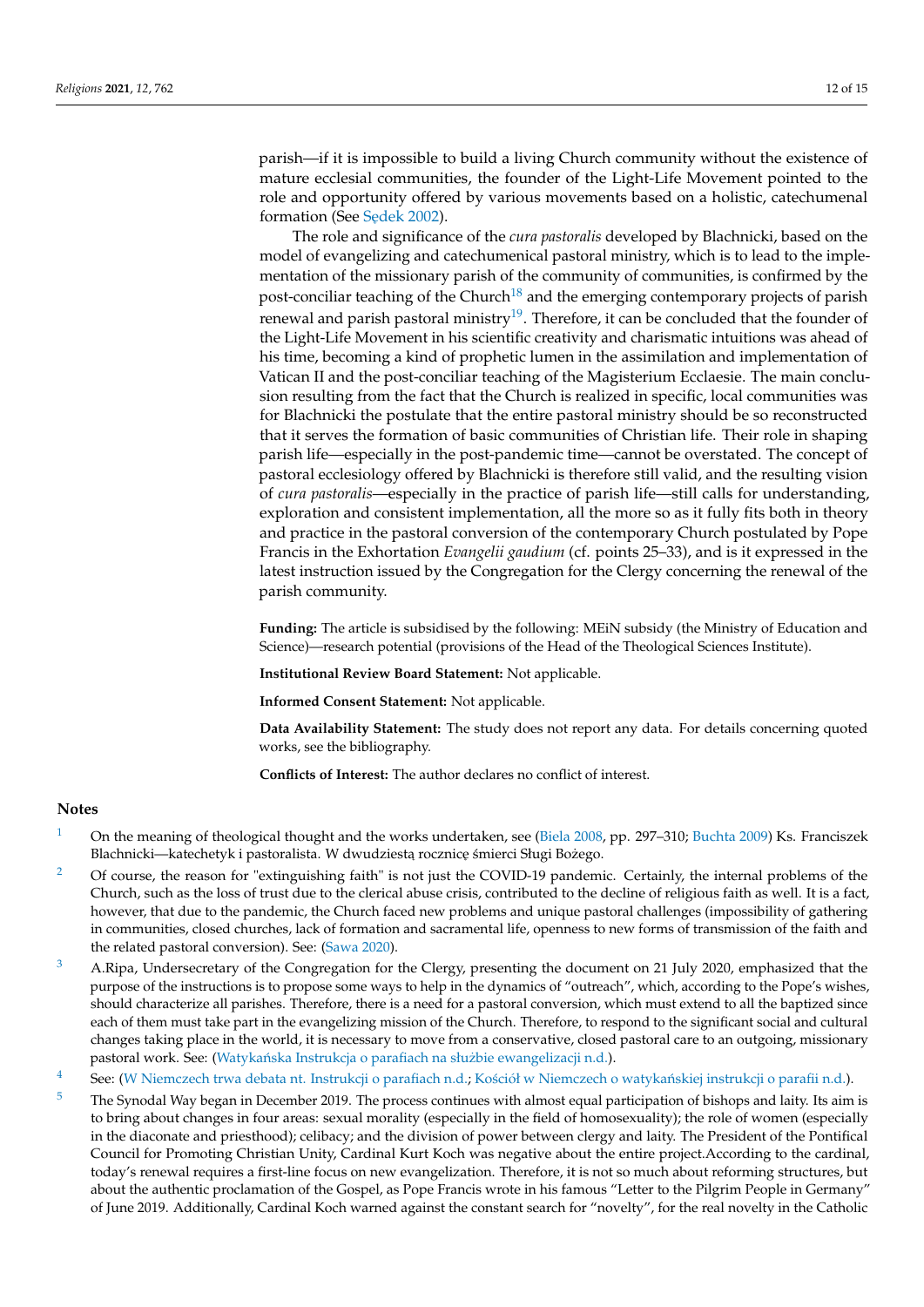parish—if it is impossible to build a living Church community without the existence of mature ecclesial communities, the founder of the Light-Life Movement pointed to the role and opportunity offered by various movements based on a holistic, catechumenal formation (See Sedek [2002\)](#page-14-5).

<span id="page-11-6"></span><span id="page-11-5"></span>The role and significance of the *cura pastoralis* developed by Blachnicki, based on the model of evangelizing and catechumenical pastoral ministry, which is to lead to the implementation of the missionary parish of the community of communities, is confirmed by the post-conciliar teaching of the Church<sup>[18](#page-12-12)</sup> and the emerging contemporary projects of parish renewal and parish pastoral ministry<sup>[19](#page-12-13)</sup>. Therefore, it can be concluded that the founder of the Light-Life Movement in his scientific creativity and charismatic intuitions was ahead of his time, becoming a kind of prophetic lumen in the assimilation and implementation of Vatican II and the post-conciliar teaching of the Magisterium Ecclaesie. The main conclusion resulting from the fact that the Church is realized in specific, local communities was for Blachnicki the postulate that the entire pastoral ministry should be so reconstructed that it serves the formation of basic communities of Christian life. Their role in shaping parish life—especially in the post-pandemic time—cannot be overstated. The concept of pastoral ecclesiology offered by Blachnicki is therefore still valid, and the resulting vision of *cura pastoralis*—especially in the practice of parish life—still calls for understanding, exploration and consistent implementation, all the more so as it fully fits both in theory and practice in the pastoral conversion of the contemporary Church postulated by Pope Francis in the Exhortation *Evangelii gaudium* (cf. points 25–33), and is it expressed in the latest instruction issued by the Congregation for the Clergy concerning the renewal of the parish community.

**Funding:** The article is subsidised by the following: MEiN subsidy (the Ministry of Education and Science)—research potential (provisions of the Head of the Theological Sciences Institute).

**Institutional Review Board Statement:** Not applicable.

**Informed Consent Statement:** Not applicable.

**Data Availability Statement:** The study does not report any data. For details concerning quoted works, see the bibliography.

**Conflicts of Interest:** The author declares no conflict of interest.

#### **Notes**

- <span id="page-11-0"></span>[1](#page-1-0) On the meaning of theological thought and the works undertaken, see [\(Biela](#page-13-20) [2008,](#page-13-20) pp. 297–310; [Buchta](#page-13-21) [2009\)](#page-13-21) Ks. Franciszek Blachnicki—katechetyk i pastoralista. W dwudziestą rocznicę śmierci Sługi Bożego.
- <span id="page-11-1"></span><sup>[2](#page-2-0)</sup> Of course, the reason for "extinguishing faith" is not just the COVID-19 pandemic. Certainly, the internal problems of the Church, such as the loss of trust due to the clerical abuse crisis, contributed to the decline of religious faith as well. It is a fact, however, that due to the pandemic, the Church faced new problems and unique pastoral challenges (impossibility of gathering in communities, closed churches, lack of formation and sacramental life, openness to new forms of transmission of the faith and the related pastoral conversion). See: [\(Sawa](#page-14-6) [2020\)](#page-14-6).
- <span id="page-11-2"></span><sup>[3](#page-2-1)</sup> A.Ripa, Undersecretary of the Congregation for the Clergy, presenting the document on 21 July 2020, emphasized that the purpose of the instructions is to propose some ways to help in the dynamics of "outreach", which, according to the Pope's wishes, should characterize all parishes. Therefore, there is a need for a pastoral conversion, which must extend to all the baptized since each of them must take part in the evangelizing mission of the Church. Therefore, to respond to the significant social and cultural changes taking place in the world, it is necessary to move from a conservative, closed pastoral care to an outgoing, missionary pastoral work. See: (Watykańska Instrukcja o parafiach na służbie ewangelizacji [n.d.\)](#page-14-7).
- <span id="page-11-3"></span>[4](#page-3-0) See: [\(W Niemczech trwa debata nt. Instrukcji o parafiach](#page-14-8) [n.d.;](#page-14-8) Kościół w Niemczech o watykańskiej instrukcji o parafii [n.d.\)](#page-13-22).
- <span id="page-11-4"></span><sup>[5](#page-3-1)</sup> The Synodal Way began in December 2019. The process continues with almost equal participation of bishops and laity. Its aim is to bring about changes in four areas: sexual morality (especially in the field of homosexuality); the role of women (especially in the diaconate and priesthood); celibacy; and the division of power between clergy and laity. The President of the Pontifical Council for Promoting Christian Unity, Cardinal Kurt Koch was negative about the entire project.According to the cardinal, today's renewal requires a first-line focus on new evangelization. Therefore, it is not so much about reforming structures, but about the authentic proclamation of the Gospel, as Pope Francis wrote in his famous "Letter to the Pilgrim People in Germany" of June 2019. Additionally, Cardinal Koch warned against the constant search for "novelty", for the real novelty in the Catholic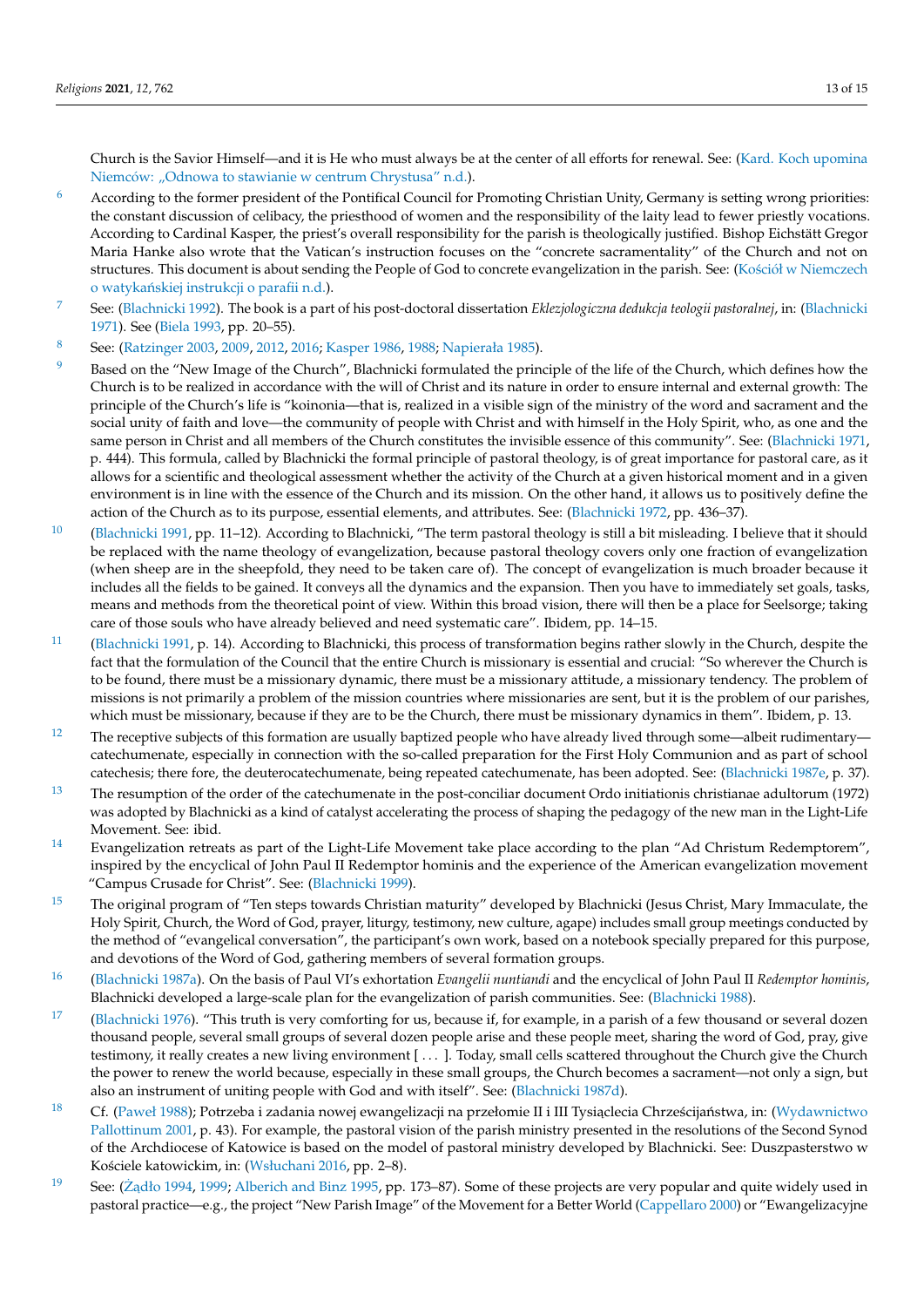Church is the Savior Himself—and it is He who must always be at the center of all efforts for renewal. See: [\(Kard. Koch upomina](#page-13-23) Niemcó[w: "Odnowa to stawianie w centrum Chrystusa"](#page-13-23) [n.d.\)](#page-13-23).

- <span id="page-12-0"></span> $6$  According to the former president of the Pontifical Council for Promoting Christian Unity, Germany is setting wrong priorities: the constant discussion of celibacy, the priesthood of women and the responsibility of the laity lead to fewer priestly vocations. According to Cardinal Kasper, the priest's overall responsibility for the parish is theologically justified. Bishop Eichstätt Gregor Maria Hanke also wrote that the Vatican's instruction focuses on the "concrete sacramentality" of the Church and not on structures. This document is about sending the People of God to concrete evangelization in the parish. See: (Kośció[ł w Niemczech](#page-13-22) o watykańskiej instrukcji o parafii [n.d.\)](#page-13-22).
- <span id="page-12-1"></span>[7](#page-4-0) See: [\(Blachnicki](#page-13-24) [1992\)](#page-13-24). The book is a part of his post-doctoral dissertation *Eklezjologiczna dedukcja teologii pastoralnej*, in: [\(Blachnicki](#page-13-3) [1971\)](#page-13-3). See [\(Biela](#page-13-25) [1993,](#page-13-25) pp. 20–55).
- <span id="page-12-2"></span>[8](#page-5-0) See: [\(Ratzinger](#page-14-9) [2003,](#page-14-9) [2009,](#page-14-10) [2012,](#page-14-11) [2016;](#page-14-12) [Kasper](#page-13-26) [1986,](#page-13-26) [1988;](#page-13-27) [Napierała](#page-14-13) [1985\)](#page-14-13).
- <span id="page-12-3"></span><sup>[9](#page-5-1)</sup> Based on the "New Image of the Church", Blachnicki formulated the principle of the life of the Church, which defines how the Church is to be realized in accordance with the will of Christ and its nature in order to ensure internal and external growth: The principle of the Church's life is "koinonia—that is, realized in a visible sign of the ministry of the word and sacrament and the social unity of faith and love—the community of people with Christ and with himself in the Holy Spirit, who, as one and the same person in Christ and all members of the Church constitutes the invisible essence of this community". See: [\(Blachnicki](#page-13-3) [1971,](#page-13-3) p. 444). This formula, called by Blachnicki the formal principle of pastoral theology, is of great importance for pastoral care, as it allows for a scientific and theological assessment whether the activity of the Church at a given historical moment and in a given environment is in line with the essence of the Church and its mission. On the other hand, it allows us to positively define the action of the Church as to its purpose, essential elements, and attributes. See: [\(Blachnicki](#page-13-7) [1972,](#page-13-7) pp. 436–37).
- <span id="page-12-4"></span> $10$  [\(Blachnicki](#page-13-13) [1991,](#page-13-13) pp. 11–12). According to Blachnicki, "The term pastoral theology is still a bit misleading. I believe that it should be replaced with the name theology of evangelization, because pastoral theology covers only one fraction of evangelization (when sheep are in the sheepfold, they need to be taken care of). The concept of evangelization is much broader because it includes all the fields to be gained. It conveys all the dynamics and the expansion. Then you have to immediately set goals, tasks, means and methods from the theoretical point of view. Within this broad vision, there will then be a place for Seelsorge; taking care of those souls who have already believed and need systematic care". Ibidem, pp. 14–15.
- <span id="page-12-5"></span>[11](#page-6-1) [\(Blachnicki](#page-13-13) [1991,](#page-13-13) p. 14). According to Blachnicki, this process of transformation begins rather slowly in the Church, despite the fact that the formulation of the Council that the entire Church is missionary is essential and crucial: "So wherever the Church is to be found, there must be a missionary dynamic, there must be a missionary attitude, a missionary tendency. The problem of missions is not primarily a problem of the mission countries where missionaries are sent, but it is the problem of our parishes, which must be missionary, because if they are to be the Church, there must be missionary dynamics in them". Ibidem, p. 13.
- <span id="page-12-6"></span><sup>[12](#page-6-2)</sup> The receptive subjects of this formation are usually baptized people who have already lived through some—albeit rudimentary catechumenate, especially in connection with the so-called preparation for the First Holy Communion and as part of school catechesis; there fore, the deuterocatechumenate, being repeated catechumenate, has been adopted. See: [\(Blachnicki](#page-13-10) [1987e,](#page-13-10) p. 37).
- <span id="page-12-7"></span><sup>[13](#page-6-3)</sup> The resumption of the order of the catechumenate in the post-conciliar document Ordo initiationis christianae adultorum (1972) was adopted by Blachnicki as a kind of catalyst accelerating the process of shaping the pedagogy of the new man in the Light-Life Movement. See: ibid.
- <span id="page-12-8"></span><sup>[14](#page-6-4)</sup> Evangelization retreats as part of the Light-Life Movement take place according to the plan "Ad Christum Redemptorem", inspired by the encyclical of John Paul II Redemptor hominis and the experience of the American evangelization movement "Campus Crusade for Christ". See: [\(Blachnicki](#page-13-28) [1999\)](#page-13-28).
- <span id="page-12-9"></span><sup>[15](#page-6-5)</sup> The original program of "Ten steps towards Christian maturity" developed by Blachnicki (Jesus Christ, Mary Immaculate, the Holy Spirit, Church, the Word of God, prayer, liturgy, testimony, new culture, agape) includes small group meetings conducted by the method of "evangelical conversation", the participant's own work, based on a notebook specially prepared for this purpose, and devotions of the Word of God, gathering members of several formation groups.
- <span id="page-12-10"></span>[16](#page-7-0) [\(Blachnicki](#page-13-29) [1987a\)](#page-13-29). On the basis of Paul VI's exhortation *Evangelii nuntiandi* and the encyclical of John Paul II *Redemptor hominis*, Blachnicki developed a large-scale plan for the evangelization of parish communities. See: [\(Blachnicki](#page-13-30) [1988\)](#page-13-30).
- <span id="page-12-11"></span><sup>[17](#page-10-0)</sup> [\(Blachnicki](#page-13-9) [1976\)](#page-13-9). "This truth is very comforting for us, because if, for example, in a parish of a few thousand or several dozen thousand people, several small groups of several dozen people arise and these people meet, sharing the word of God, pray, give testimony, it really creates a new living environment [ . . . ]. Today, small cells scattered throughout the Church give the Church the power to renew the world because, especially in these small groups, the Church becomes a sacrament—not only a sign, but also an instrument of uniting people with God and with itself". See: [\(Blachnicki](#page-13-16) [1987d\)](#page-13-16).
- <span id="page-12-12"></span><sup>[18](#page-11-5)</sup> Cf. [\(Paweł](#page-14-0) [1988\)](#page-14-0); Potrzeba i zadania nowej ewangelizacji na przełomie II i III Tysiąclecia Chrześcijaństwa, in: [\(Wydawnictwo](#page-14-14) [Pallottinum](#page-14-14) [2001,](#page-14-14) p. 43). For example, the pastoral vision of the parish ministry presented in the resolutions of the Second Synod of the Archdiocese of Katowice is based on the model of pastoral ministry developed by Blachnicki. See: Duszpasterstwo w Kościele katowickim, in: [\(Wsłuchani](#page-14-15) [2016,](#page-14-15) pp. 2–8).
- <span id="page-12-13"></span>[19](#page-11-6) See: ( $\dot{Z}$ <sub>d</sub>dło [1994,](#page-14-16) [1999;](#page-14-17) [Alberich and Binz](#page-13-31) [1995,](#page-13-31) pp. 173–87). Some of these projects are very popular and quite widely used in pastoral practice—e.g., the project "New Parish Image" of the Movement for a Better World [\(Cappellaro](#page-13-32) [2000\)](#page-13-32) or "Ewangelizacyjne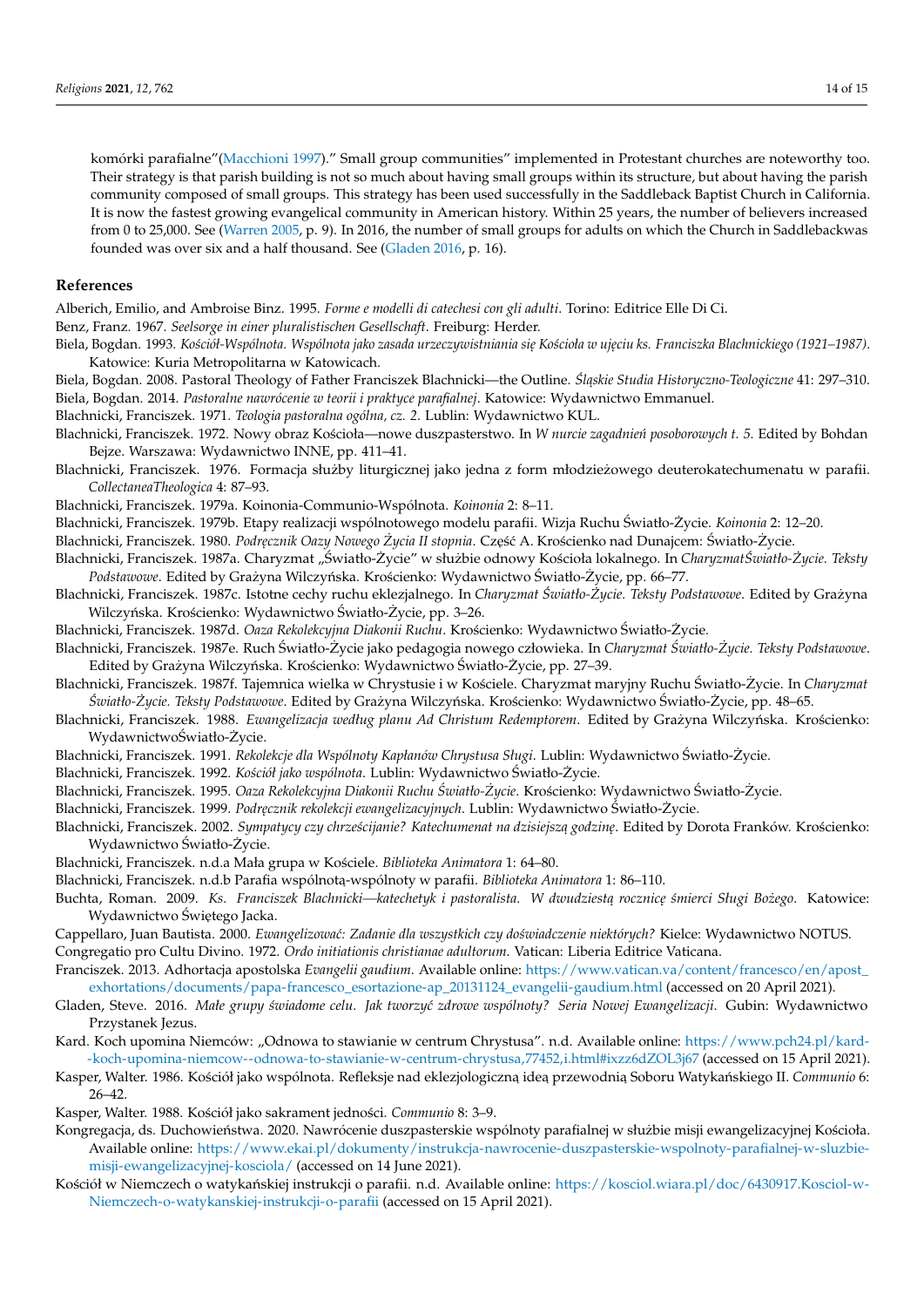komórki parafialne"[\(Macchioni](#page-14-18) [1997\)](#page-14-18)." Small group communities" implemented in Protestant churches are noteworthy too. Their strategy is that parish building is not so much about having small groups within its structure, but about having the parish community composed of small groups. This strategy has been used successfully in the Saddleback Baptist Church in California. It is now the fastest growing evangelical community in American history. Within 25 years, the number of believers increased from 0 to 25,000. See [\(Warren](#page-14-19) [2005,](#page-14-19) p. 9). In 2016, the number of small groups for adults on which the Church in Saddlebackwas founded was over six and a half thousand. See [\(Gladen](#page-13-33) [2016,](#page-13-33) p. 16).

### **References**

<span id="page-13-31"></span>Alberich, Emilio, and Ambroise Binz. 1995. *Forme e modelli di catechesi con gli adulti*. Torino: Editrice Elle Di Ci.

- <span id="page-13-5"></span>Benz, Franz. 1967. *Seelsorge in einer pluralistischen Gesellschaft*. Freiburg: Herder.
- <span id="page-13-25"></span>Biela, Bogdan. 1993. Kościół-Wspólnota. Wspólnota jako zasada urzeczywistniania się Kościoła w ujęciu ks. Franciszka Blachnickiego (1921–1987). Katowice: Kuria Metropolitarna w Katowicach.
- <span id="page-13-20"></span><span id="page-13-6"></span>Biela, Bogdan. 2008. Pastoral Theology of Father Franciszek Blachnicki—the Outline. Śląskie Studia Historyczno-Teologiczne 41: 297-310. Biela, Bogdan. 2014. *Pastoralne nawrócenie w teorii i praktyce parafialnej*. Katowice: Wydawnictwo Emmanuel.
- <span id="page-13-3"></span>Blachnicki, Franciszek. 1971. *Teologia pastoralna ogólna, cz. 2*. Lublin: Wydawnictwo KUL.
- <span id="page-13-7"></span>Blachnicki, Franciszek. 1972. Nowy obraz Kościoła—nowe duszpasterstwo. In *W nurcie zagadnień posoborowych t. 5*. Edited by Bohdan Bejze. Warszawa: Wydawnictwo INNE, pp. 411–41.
- <span id="page-13-9"></span>Blachnicki, Franciszek. 1976. Formacja służby liturgicznej jako jedna z form młodzieżowego deuterokatechumenatu w parafii. *CollectaneaTheologica* 4: 87–93.
- <span id="page-13-15"></span>Blachnicki, Franciszek. 1979a. Koinonia-Communio-Wspólnota. *Koinonia* 2: 8–11.
- <span id="page-13-14"></span>Blachnicki, Franciszek. 1979b. Etapy realizacji wspólnotowego modelu parafii. Wizja Ruchu Światło-Życie. Koinonia 2: 12-20.
- <span id="page-13-11"></span>Blachnicki, Franciszek. 1980. Podrecznik Oazy Nowego Życia II stopnia. Cześć A. Krościenko nad Dunajcem: Światło-Życie.
- <span id="page-13-29"></span>Blachnicki, Franciszek. 1987a. Charyzmat "Światło-Życie" w służbie odnowy Kościoła lokalnego. In CharyzmatŚwiatło-Życie. Teksty Podstawowe. Edited by Grażyna Wilczyńska. Krościenko: Wydawnictwo Światło-Życie, pp. 66–77.
- <span id="page-13-19"></span>Blachnicki, Franciszek. 1987c. Istotne cechy ruchu eklezjalnego. In *Charyzmat Swiatło- ´ Zycie. Teksty Podstawowe ˙* . Edited by Grazyna ˙ Wilczyńska. Krościenko: Wydawnictwo Światło-Życie, pp. 3–26.
- <span id="page-13-16"></span><span id="page-13-10"></span>Blachnicki, Franciszek. 1987d. *Oaza Rekolekcyjna Diakonii Ruchu*. Krościenko: Wydawnictwo Światło-Życie.
- Blachnicki, Franciszek. 1987e. Ruch Światło-Życie jako pedagogia nowego człowieka. In Charyzmat Światło-Życie. Teksty Podstawowe. Edited by Grazyna Wilczyńska. Krościenko: Wydawnictwo Światło-Życie, pp. 27–39.
- <span id="page-13-12"></span>Blachnicki, Franciszek. 1987f. Tajemnica wielka w Chrystusie i w Kościele. Charyzmat maryjny Ruchu Światło-Życie. In Charyzmat *Swiatło- ´ Zycie. Teksty Podstawowe ˙* . Edited by Grazyna Wilczy ´nska. Kro´scienko: Wydawnictwo ˙ Swiatło- ´ Zycie, pp. 48–65. ˙
- <span id="page-13-30"></span>Blachnicki, Franciszek. 1988. *Ewangelizacja według planu Ad Christum Redemptorem*. Edited by Grażyna Wilczyńska. Krościenko: WydawnictwoŚwiatło-Życie.
- <span id="page-13-13"></span>Blachnicki, Franciszek. 1991. *Rekolekcje dla Wspólnoty Kapłanów Chrystusa Sługi*. Lublin: Wydawnictwo Światło-Życie.
- <span id="page-13-24"></span>Blachnicki, Franciszek. 1992. *Kościół jako wspólnota*. Lublin: Wydawnictwo Światło-Życie.
- <span id="page-13-2"></span>Blachnicki, Franciszek. 1995. *Oaza Rekolekcyjna Diakonii Ruchu Swiatło- ´ Zycie ˙* . Kro´scienko: Wydawnictwo Swiatło- ´ Zycie. ˙
- <span id="page-13-28"></span>Blachnicki, Franciszek. 1999. Podręcznik rekolekcji ewangelizacyjnych. Lublin: Wydawnictwo Światło-Życie.
- <span id="page-13-1"></span>Blachnicki, Franciszek. 2002. *Sympatycy czy chrześcijanie? Katechumenat na dzisiejsza godzine*. Edited by Dorota Franków. Krościenko: Wydawnictwo Światło-Życie.
- <span id="page-13-18"></span>Blachnicki, Franciszek. n.d.a Mała grupa w Ko´sciele. *Biblioteka Animatora* 1: 64–80.
- <span id="page-13-17"></span>Blachnicki, Franciszek. n.d.b Parafia wspólnota-wspólnoty w parafii. *Biblioteka Animatora* 1: 86–110.
- <span id="page-13-21"></span>Buchta, Roman. 2009. *Ks. Franciszek Blachnicki—katechetyk i pastoralista. W dwudziestą rocznicę śmierci Sługi Bożego*. Katowice: Wydawnictwo Świętego Jacka.
- <span id="page-13-32"></span><span id="page-13-8"></span>Cappellaro, Juan Bautista. 2000. *Ewangelizowa´c: Zadanie dla wszystkich czy do´swiadczenie niektórych?* Kielce: Wydawnictwo NOTUS. Congregatio pro Cultu Divino. 1972. *Ordo initiationis christianae adultorum*. Vatican: Liberia Editrice Vaticana.
- <span id="page-13-0"></span>Franciszek. 2013. Adhortacja apostolska *Evangelii gaudium*. Available online: [https://www.vatican.va/content/francesco/en/apost\\_](https://www.vatican.va/content/francesco/en/apost_exhortations/documents/papa-francesco_esortazione-ap_20131124_evangelii-gaudium.html) [exhortations/documents/papa-francesco\\_esortazione-ap\\_20131124\\_evangelii-gaudium.html](https://www.vatican.va/content/francesco/en/apost_exhortations/documents/papa-francesco_esortazione-ap_20131124_evangelii-gaudium.html) (accessed on 20 April 2021).
- <span id="page-13-33"></span>Gladen, Steve. 2016. *Małe grupy ´swiadome celu. Jak tworzy´c zdrowe wspólnoty? Seria Nowej Ewangelizacji*. Gubin: Wydawnictwo Przystanek Jezus.
- <span id="page-13-23"></span>Kard. Koch upomina Niemców: "Odnowa to stawianie w centrum Chrystusa". n.d. Available online: [https://www.pch24.pl/kard-](https://www.pch24.pl/kard--koch-upomina-niemcow--odnowa-to-stawianie-w-centrum-chrystusa,77452,i.html#ixzz6dZOL3j67) [-koch-upomina-niemcow--odnowa-to-stawianie-w-centrum-chrystusa,77452,i.html#ixzz6dZOL3j67](https://www.pch24.pl/kard--koch-upomina-niemcow--odnowa-to-stawianie-w-centrum-chrystusa,77452,i.html#ixzz6dZOL3j67) (accessed on 15 April 2021).
- <span id="page-13-26"></span>Kasper, Walter. 1986. Kościół jako wspólnota. Refleksje nad eklezjologiczną ideą przewodnią Soboru Watykańskiego II. Communio 6: 26–42.
- <span id="page-13-27"></span>Kasper, Walter. 1988. Kościół jako sakrament jedności. *Communio* 8: 3-9.
- <span id="page-13-4"></span>Kongregacja, ds. Duchowieństwa. 2020. Nawrócenie duszpasterskie wspólnoty parafialnej w służbie misji ewangelizacyjnej Kościoła. Available online: [https://www.ekai.pl/dokumenty/instrukcja-nawrocenie-duszpasterskie-wspolnoty-parafialnej-w-sluzbie](https://www.ekai.pl/dokumenty/instrukcja-nawrocenie-duszpasterskie-wspolnoty-parafialnej-w-sluzbie-misji-ewangelizacyjnej-kosciola/)[misji-ewangelizacyjnej-kosciola/](https://www.ekai.pl/dokumenty/instrukcja-nawrocenie-duszpasterskie-wspolnoty-parafialnej-w-sluzbie-misji-ewangelizacyjnej-kosciola/) (accessed on 14 June 2021).
- <span id="page-13-22"></span>Kościół w Niemczech o watykańskiej instrukcji o parafii. n.d. Available online: [https://kosciol.wiara.pl/doc/6430917.Kosciol-w-](https://kosciol.wiara.pl/doc/6430917.Kosciol-w-Niemczech-o-watykanskiej-instrukcji-o-parafii)[Niemczech-o-watykanskiej-instrukcji-o-parafii](https://kosciol.wiara.pl/doc/6430917.Kosciol-w-Niemczech-o-watykanskiej-instrukcji-o-parafii) (accessed on 15 April 2021).